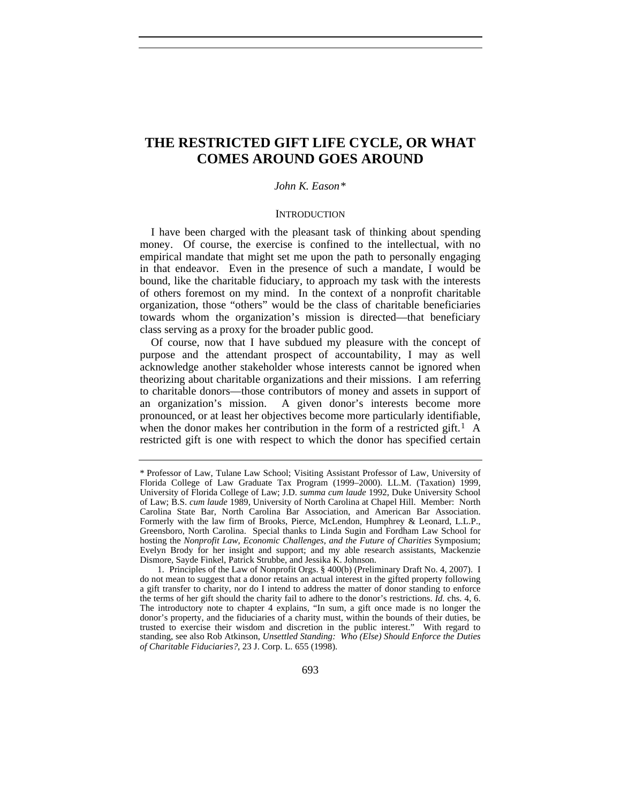# **THE RESTRICTED GIFT LIFE CYCLE, OR WHAT COMES AROUND GOES AROUND**

# *John K. Eason[\\*](#page-0-0)*

#### **INTRODUCTION**

I have been charged with the pleasant task of thinking about spending money. Of course, the exercise is confined to the intellectual, with no empirical mandate that might set me upon the path to personally engaging in that endeavor. Even in the presence of such a mandate, I would be bound, like the charitable fiduciary, to approach my task with the interests of others foremost on my mind. In the context of a nonprofit charitable organization, those "others" would be the class of charitable beneficiaries towards whom the organization's mission is directed—that beneficiary class serving as a proxy for the broader public good.

Of course, now that I have subdued my pleasure with the concept of purpose and the attendant prospect of accountability, I may as well acknowledge another stakeholder whose interests cannot be ignored when theorizing about charitable organizations and their missions. I am referring to charitable donors—those contributors of money and assets in support of an organization's mission. A given donor's interests become more pronounced, or at least her objectives become more particularly identifiable, when the donor makes her contribution in the form of a restricted gift.<sup>[1](#page-0-1)</sup> A restricted gift is one with respect to which the donor has specified certain

<span id="page-0-0"></span><sup>\*</sup> Professor of Law, Tulane Law School; Visiting Assistant Professor of Law, University of Florida College of Law Graduate Tax Program (1999–2000). LL.M. (Taxation) 1999, University of Florida College of Law; J.D. *summa cum laude* 1992, Duke University School of Law; B.S. *cum laude* 1989, University of North Carolina at Chapel Hill. Member: North Carolina State Bar, North Carolina Bar Association, and American Bar Association. Formerly with the law firm of Brooks, Pierce, McLendon, Humphrey & Leonard, L.L.P., Greensboro, North Carolina. Special thanks to Linda Sugin and Fordham Law School for hosting the *Nonprofit Law, Economic Challenges, and the Future of Charities* Symposium; Evelyn Brody for her insight and support; and my able research assistants, Mackenzie Dismore, Sayde Finkel, Patrick Strubbe, and Jessika K. Johnson.

<span id="page-0-1"></span><sup>1.</sup> Principles of the Law of Nonprofit Orgs. § 400(b) (Preliminary Draft No. 4, 2007). I do not mean to suggest that a donor retains an actual interest in the gifted property following a gift transfer to charity, nor do I intend to address the matter of donor standing to enforce the terms of her gift should the charity fail to adhere to the donor's restrictions. *Id.* chs. 4, 6. The introductory note to chapter 4 explains, "In sum, a gift once made is no longer the donor's property, and the fiduciaries of a charity must, within the bounds of their duties, be trusted to exercise their wisdom and discretion in the public interest." With regard to standing, see also Rob Atkinson, *Unsettled Standing: Who (Else) Should Enforce the Duties of Charitable Fiduciaries?*, 23 J. Corp. L. 655 (1998).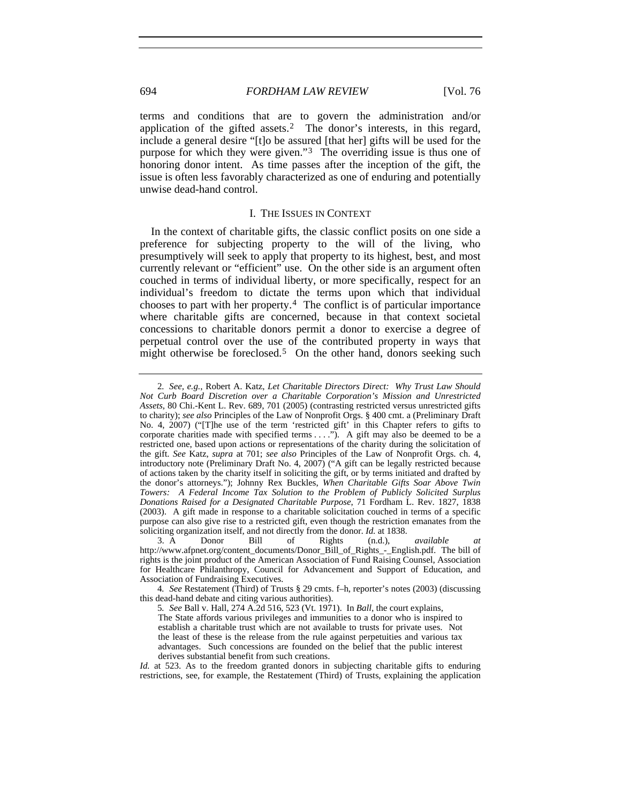terms and conditions that are to govern the administration and/or application of the gifted assets.<sup>[2](#page-1-0)</sup> The donor's interests, in this regard, include a general desire "[t]o be assured [that her] gifts will be used for the purpose for which they were given."[3](#page-1-1) The overriding issue is thus one of honoring donor intent. As time passes after the inception of the gift, the issue is often less favorably characterized as one of enduring and potentially unwise dead-hand control.

# I. THE ISSUES IN CONTEXT

In the context of charitable gifts, the classic conflict posits on one side a preference for subjecting property to the will of the living, who presumptively will seek to apply that property to its highest, best, and most currently relevant or "efficient" use. On the other side is an argument often couched in terms of individual liberty, or more specifically, respect for an individual's freedom to dictate the terms upon which that individual chooses to part with her property.[4](#page-1-2) The conflict is of particular importance where charitable gifts are concerned, because in that context societal concessions to charitable donors permit a donor to exercise a degree of perpetual control over the use of the contributed property in ways that might otherwise be foreclosed.<sup>[5](#page-1-3)</sup> On the other hand, donors seeking such

<span id="page-1-0"></span><sup>2</sup>*. See, e.g.*, Robert A. Katz, *Let Charitable Directors Direct: Why Trust Law Should Not Curb Board Discretion over a Charitable Corporation's Mission and Unrestricted Assets*, 80 Chi.-Kent L. Rev. 689, 701 (2005) (contrasting restricted versus unrestricted gifts to charity); *see also* Principles of the Law of Nonprofit Orgs. § 400 cmt. a (Preliminary Draft No. 4, 2007) ("[T]he use of the term 'restricted gift' in this Chapter refers to gifts to corporate charities made with specified terms . . . ."). A gift may also be deemed to be a restricted one, based upon actions or representations of the charity during the solicitation of the gift. *See* Katz, *supra* at 701; *see also* Principles of the Law of Nonprofit Orgs. ch. 4, introductory note (Preliminary Draft No. 4, 2007) ("A gift can be legally restricted because of actions taken by the charity itself in soliciting the gift, or by terms initiated and drafted by the donor's attorneys."); Johnny Rex Buckles, *When Charitable Gifts Soar Above Twin Towers: A Federal Income Tax Solution to the Problem of Publicly Solicited Surplus Donations Raised for a Designated Charitable Purpose*, 71 Fordham L. Rev. 1827, 1838 (2003). A gift made in response to a charitable solicitation couched in terms of a specific purpose can also give rise to a restricted gift, even though the restriction emanates from the soliciting organization itself, and not directly from the donor. *Id.* at 1838.

<span id="page-1-1"></span><sup>3.</sup> A Donor Bill of Rights (n.d.), *available at*  http://www.afpnet.org/content\_documents/Donor\_Bill\_of\_Rights\_-\_English.pdf. The bill of rights is the joint product of the American Association of Fund Raising Counsel, Association for Healthcare Philanthropy, Council for Advancement and Support of Education, and Association of Fundraising Executives.

<span id="page-1-3"></span><span id="page-1-2"></span><sup>4</sup>*. See* Restatement (Third) of Trusts § 29 cmts. f–h, reporter's notes (2003) (discussing this dead-hand debate and citing various authorities).

<sup>5</sup>*. See* Ball v. Hall, 274 A.2d 516, 523 (Vt. 1971). In *Ball*, the court explains,

The State affords various privileges and immunities to a donor who is inspired to establish a charitable trust which are not available to trusts for private uses. Not the least of these is the release from the rule against perpetuities and various tax advantages. Such concessions are founded on the belief that the public interest derives substantial benefit from such creations.

*Id.* at 523. As to the freedom granted donors in subjecting charitable gifts to enduring restrictions, see, for example, the Restatement (Third) of Trusts, explaining the application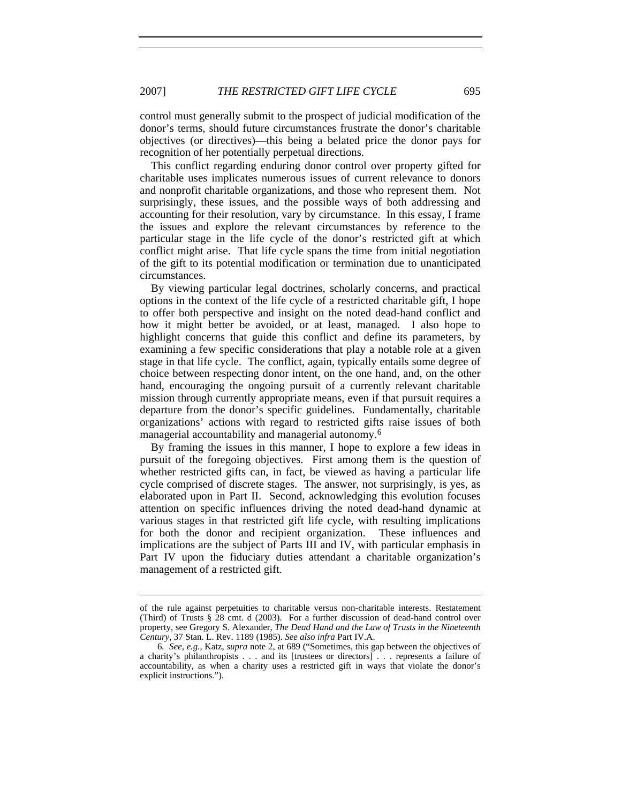control must generally submit to the prospect of judicial modification of the donor's terms, should future circumstances frustrate the donor's charitable objectives (or directives)—this being a belated price the donor pays for recognition of her potentially perpetual directions.

This conflict regarding enduring donor control over property gifted for charitable uses implicates numerous issues of current relevance to donors and nonprofit charitable organizations, and those who represent them. Not surprisingly, these issues, and the possible ways of both addressing and accounting for their resolution, vary by circumstance. In this essay, I frame the issues and explore the relevant circumstances by reference to the particular stage in the life cycle of the donor's restricted gift at which conflict might arise. That life cycle spans the time from initial negotiation of the gift to its potential modification or termination due to unanticipated circumstances.

By viewing particular legal doctrines, scholarly concerns, and practical options in the context of the life cycle of a restricted charitable gift, I hope to offer both perspective and insight on the noted dead-hand conflict and how it might better be avoided, or at least, managed. I also hope to highlight concerns that guide this conflict and define its parameters, by examining a few specific considerations that play a notable role at a given stage in that life cycle. The conflict, again, typically entails some degree of choice between respecting donor intent, on the one hand, and, on the other hand, encouraging the ongoing pursuit of a currently relevant charitable mission through currently appropriate means, even if that pursuit requires a departure from the donor's specific guidelines. Fundamentally, charitable organizations' actions with regard to restricted gifts raise issues of both managerial accountability and managerial autonomy.[6](#page-2-0)

By framing the issues in this manner, I hope to explore a few ideas in pursuit of the foregoing objectives. First among them is the question of whether restricted gifts can, in fact, be viewed as having a particular life cycle comprised of discrete stages. The answer, not surprisingly, is yes, as elaborated upon in Part II. Second, acknowledging this evolution focuses attention on specific influences driving the noted dead-hand dynamic at various stages in that restricted gift life cycle, with resulting implications for both the donor and recipient organization. These influences and implications are the subject of Parts III and IV, with particular emphasis in Part IV upon the fiduciary duties attendant a charitable organization's management of a restricted gift.

of the rule against perpetuities to charitable versus non-charitable interests. Restatement (Third) of Trusts § 28 cmt. d (2003). For a further discussion of dead-hand control over property, see Gregory S. Alexander, *The Dead Hand and the Law of Trusts in the Nineteenth Century*, 37 Stan. L. Rev. 1189 (1985). *See also infra* Part IV.A.

<span id="page-2-0"></span><sup>6</sup>*. See, e.g.*, Katz, *supra* note 2, at 689 ("Sometimes, this gap between the objectives of a charity's philanthropists . . . and its [trustees or directors] . . . represents a failure of accountability, as when a charity uses a restricted gift in ways that violate the donor's explicit instructions.").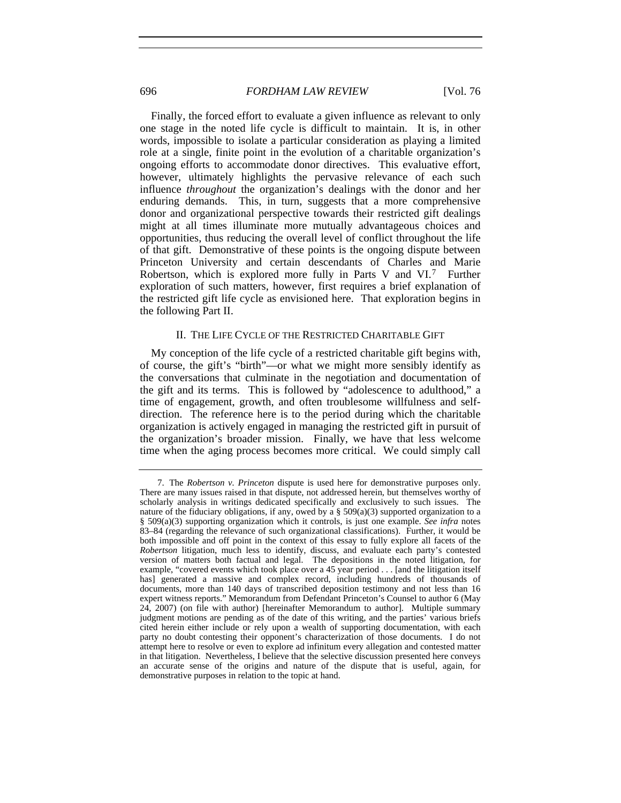Finally, the forced effort to evaluate a given influence as relevant to only one stage in the noted life cycle is difficult to maintain. It is, in other words, impossible to isolate a particular consideration as playing a limited role at a single, finite point in the evolution of a charitable organization's ongoing efforts to accommodate donor directives. This evaluative effort, however, ultimately highlights the pervasive relevance of each such influence *throughout* the organization's dealings with the donor and her enduring demands. This, in turn, suggests that a more comprehensive donor and organizational perspective towards their restricted gift dealings might at all times illuminate more mutually advantageous choices and opportunities, thus reducing the overall level of conflict throughout the life of that gift. Demonstrative of these points is the ongoing dispute between Princeton University and certain descendants of Charles and Marie Robertson, which is explored more fully in Parts V and VI.[7](#page-3-0) Further exploration of such matters, however, first requires a brief explanation of the restricted gift life cycle as envisioned here. That exploration begins in the following Part II.

# II. THE LIFE CYCLE OF THE RESTRICTED CHARITABLE GIFT

My conception of the life cycle of a restricted charitable gift begins with, of course, the gift's "birth"—or what we might more sensibly identify as the conversations that culminate in the negotiation and documentation of the gift and its terms. This is followed by "adolescence to adulthood," a time of engagement, growth, and often troublesome willfulness and selfdirection. The reference here is to the period during which the charitable organization is actively engaged in managing the restricted gift in pursuit of the organization's broader mission. Finally, we have that less welcome time when the aging process becomes more critical. We could simply call

<span id="page-3-0"></span><sup>7.</sup> The *Robertson v. Princeton* dispute is used here for demonstrative purposes only. There are many issues raised in that dispute, not addressed herein, but themselves worthy of scholarly analysis in writings dedicated specifically and exclusively to such issues. The nature of the fiduciary obligations, if any, owed by a  $\S$  509(a)(3) supported organization to a § 509(a)(3) supporting organization which it controls, is just one example. *See infra* notes 83–84 (regarding the relevance of such organizational classifications). Further, it would be both impossible and off point in the context of this essay to fully explore all facets of the *Robertson* litigation, much less to identify, discuss, and evaluate each party's contested version of matters both factual and legal. The depositions in the noted litigation, for example, "covered events which took place over a 45 year period . . . [and the litigation itself has] generated a massive and complex record, including hundreds of thousands of documents, more than 140 days of transcribed deposition testimony and not less than 16 expert witness reports." Memorandum from Defendant Princeton's Counsel to author 6 (May 24, 2007) (on file with author) [hereinafter Memorandum to author]. Multiple summary judgment motions are pending as of the date of this writing, and the parties' various briefs cited herein either include or rely upon a wealth of supporting documentation, with each party no doubt contesting their opponent's characterization of those documents. I do not attempt here to resolve or even to explore ad infinitum every allegation and contested matter in that litigation. Nevertheless, I believe that the selective discussion presented here conveys an accurate sense of the origins and nature of the dispute that is useful, again, for demonstrative purposes in relation to the topic at hand.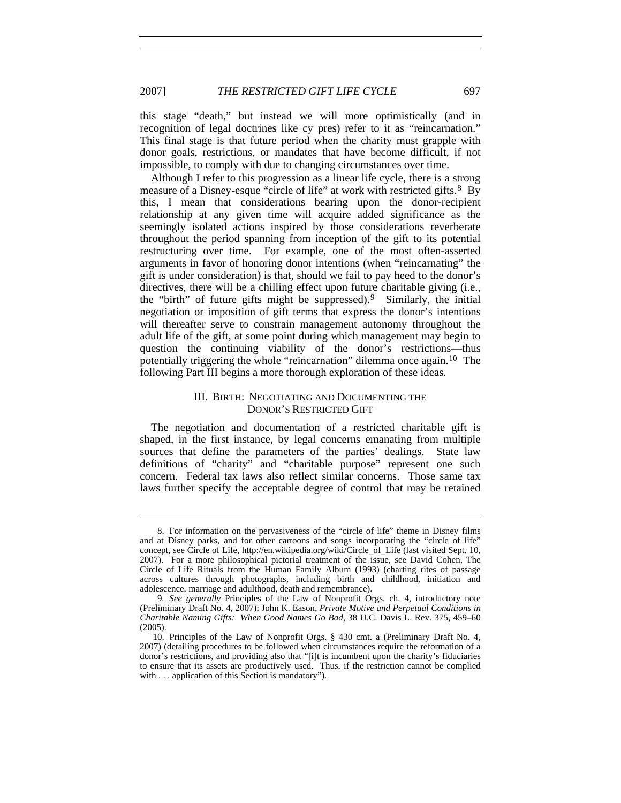this stage "death," but instead we will more optimistically (and in recognition of legal doctrines like cy pres) refer to it as "reincarnation." This final stage is that future period when the charity must grapple with donor goals, restrictions, or mandates that have become difficult, if not impossible, to comply with due to changing circumstances over time.

Although I refer to this progression as a linear life cycle, there is a strong measure of a Disney-esque "circle of life" at work with restricted gifts.[8](#page-4-0) By this, I mean that considerations bearing upon the donor-recipient relationship at any given time will acquire added significance as the seemingly isolated actions inspired by those considerations reverberate throughout the period spanning from inception of the gift to its potential restructuring over time. For example, one of the most often-asserted arguments in favor of honoring donor intentions (when "reincarnating" the gift is under consideration) is that, should we fail to pay heed to the donor's directives, there will be a chilling effect upon future charitable giving (i.e., the "birth" of future gifts might be suppressed).[9](#page-4-1) Similarly, the initial negotiation or imposition of gift terms that express the donor's intentions will thereafter serve to constrain management autonomy throughout the adult life of the gift, at some point during which management may begin to question the continuing viability of the donor's restrictions—thus potentially triggering the whole "reincarnation" dilemma once again.[10](#page-4-2) The following Part III begins a more thorough exploration of these ideas.

# III. BIRTH: NEGOTIATING AND DOCUMENTING THE DONOR'S RESTRICTED GIFT

The negotiation and documentation of a restricted charitable gift is shaped, in the first instance, by legal concerns emanating from multiple sources that define the parameters of the parties' dealings. State law definitions of "charity" and "charitable purpose" represent one such concern. Federal tax laws also reflect similar concerns. Those same tax laws further specify the acceptable degree of control that may be retained

<span id="page-4-0"></span><sup>8.</sup> For information on the pervasiveness of the "circle of life" theme in Disney films and at Disney parks, and for other cartoons and songs incorporating the "circle of life" concept, see Circle of Life, http://en.wikipedia.org/wiki/Circle\_of\_Life (last visited Sept. 10, 2007). For a more philosophical pictorial treatment of the issue, see David Cohen, The Circle of Life Rituals from the Human Family Album (1993) (charting rites of passage across cultures through photographs, including birth and childhood, initiation and adolescence, marriage and adulthood, death and remembrance).

<span id="page-4-1"></span><sup>9</sup>*. See generally* Principles of the Law of Nonprofit Orgs. ch. 4, introductory note (Preliminary Draft No. 4, 2007); John K. Eason, *Private Motive and Perpetual Conditions in Charitable Naming Gifts: When Good Names Go Bad*, 38 U.C. Davis L. Rev. 375, 459–60 (2005).

<span id="page-4-2"></span><sup>10.</sup> Principles of the Law of Nonprofit Orgs. § 430 cmt. a (Preliminary Draft No. 4, 2007) (detailing procedures to be followed when circumstances require the reformation of a donor's restrictions, and providing also that "[i]t is incumbent upon the charity's fiduciaries to ensure that its assets are productively used. Thus, if the restriction cannot be complied with . . . application of this Section is mandatory").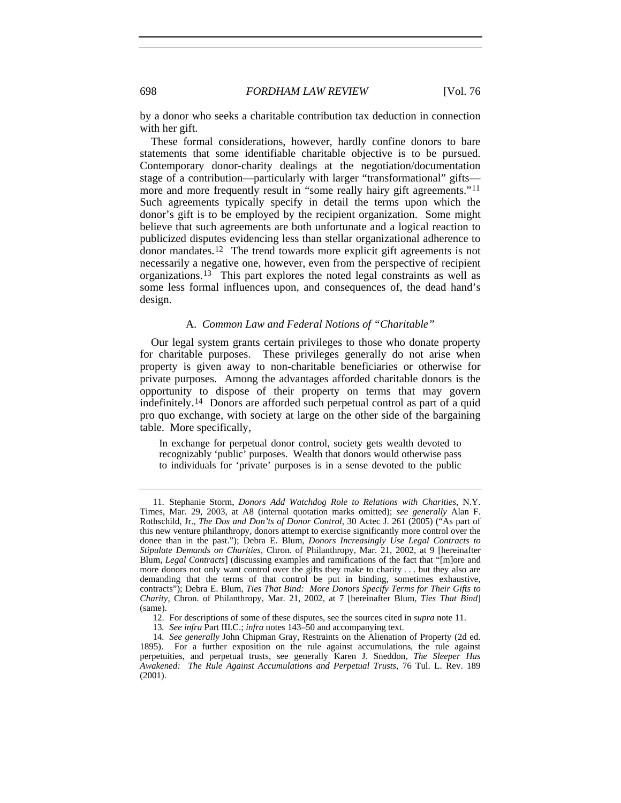by a donor who seeks a charitable contribution tax deduction in connection with her gift.

These formal considerations, however, hardly confine donors to bare statements that some identifiable charitable objective is to be pursued. Contemporary donor-charity dealings at the negotiation/documentation stage of a contribution—particularly with larger "transformational" gifts— more and more frequently result in "some really hairy gift agreements."<sup>[11](#page-5-0)</sup> Such agreements typically specify in detail the terms upon which the donor's gift is to be employed by the recipient organization. Some might believe that such agreements are both unfortunate and a logical reaction to publicized disputes evidencing less than stellar organizational adherence to donor mandates.[12](#page-5-1) The trend towards more explicit gift agreements is not necessarily a negative one, however, even from the perspective of recipient organizations.[13](#page-5-2) This part explores the noted legal constraints as well as some less formal influences upon, and consequences of, the dead hand's design.

# A. *Common Law and Federal Notions of "Charitable"*

Our legal system grants certain privileges to those who donate property for charitable purposes. These privileges generally do not arise when property is given away to non-charitable beneficiaries or otherwise for private purposes. Among the advantages afforded charitable donors is the opportunity to dispose of their property on terms that may govern indefinitely.[14](#page-5-3) Donors are afforded such perpetual control as part of a quid pro quo exchange, with society at large on the other side of the bargaining table. More specifically,

In exchange for perpetual donor control, society gets wealth devoted to recognizably 'public' purposes. Wealth that donors would otherwise pass to individuals for 'private' purposes is in a sense devoted to the public

<span id="page-5-0"></span><sup>11.</sup> Stephanie Storm, *Donors Add Watchdog Role to Relations with Charities*, N.Y. Times, Mar. 29, 2003, at A8 (internal quotation marks omitted); *see generally* Alan F. Rothschild, Jr., *The Dos and Don'ts of Donor Control*, 30 Actec J. 261 (2005) ("As part of this new venture philanthropy, donors attempt to exercise significantly more control over the donee than in the past."); Debra E. Blum, *Donors Increasingly Use Legal Contracts to Stipulate Demands on Charities*, Chron. of Philanthropy, Mar. 21, 2002, at 9 [hereinafter Blum, *Legal Contracts*] (discussing examples and ramifications of the fact that "[m]ore and more donors not only want control over the gifts they make to charity . . . but they also are demanding that the terms of that control be put in binding, sometimes exhaustive, contracts"); Debra E. Blum, *Ties That Bind: More Donors Specify Terms for Their Gifts to Charity*, Chron. of Philanthropy, Mar. 21, 2002, at 7 [hereinafter Blum, *Ties That Bind*] (same).

<sup>12.</sup> For descriptions of some of these disputes, see the sources cited in *supra* note 11.

<sup>13</sup>*. See infra* Part III.C.; *infra* notes 143–50 and accompanying text.

<span id="page-5-3"></span><span id="page-5-2"></span><span id="page-5-1"></span><sup>14</sup>*. See generally* John Chipman Gray, Restraints on the Alienation of Property (2d ed. 1895). For a further exposition on the rule against accumulations, the rule against perpetuities, and perpetual trusts, see generally Karen J. Sneddon, *The Sleeper Has Awakened: The Rule Against Accumulations and Perpetual Trusts*, 76 Tul. L. Rev. 189 (2001).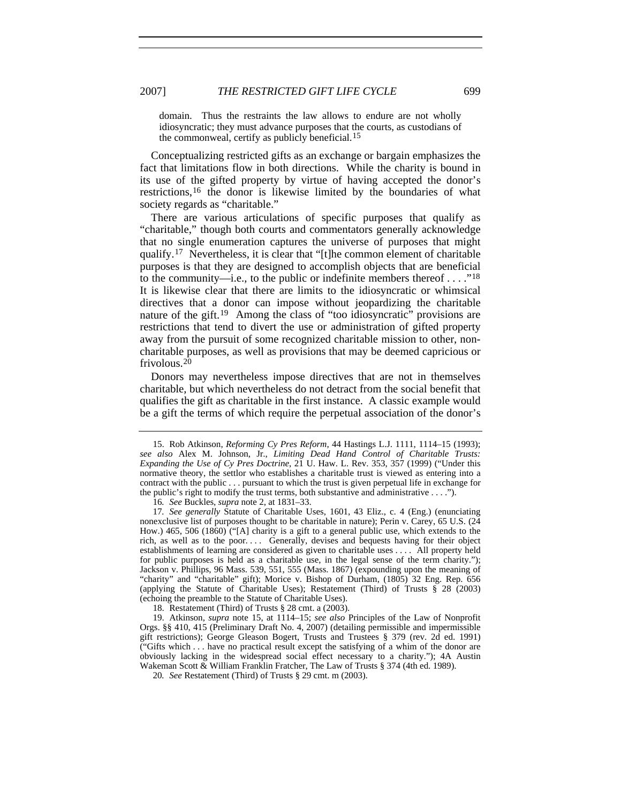domain. Thus the restraints the law allows to endure are not wholly idiosyncratic; they must advance purposes that the courts, as custodians of the commonweal, certify as publicly beneficial.<sup>[15](#page-6-0)</sup>

Conceptualizing restricted gifts as an exchange or bargain emphasizes the fact that limitations flow in both directions. While the charity is bound in its use of the gifted property by virtue of having accepted the donor's restrictions,[16](#page-6-1) the donor is likewise limited by the boundaries of what society regards as "charitable."

There are various articulations of specific purposes that qualify as "charitable," though both courts and commentators generally acknowledge that no single enumeration captures the universe of purposes that might qualify.[17](#page-6-2) Nevertheless, it is clear that "[t]he common element of charitable purposes is that they are designed to accomplish objects that are beneficial to the community—i.e., to the public or indefinite members thereof  $\dots$ ."<sup>18</sup> It is likewise clear that there are limits to the idiosyncratic or whimsical directives that a donor can impose without jeopardizing the charitable nature of the gift.<sup>[19](#page-6-4)</sup> Among the class of "too idiosyncratic" provisions are restrictions that tend to divert the use or administration of gifted property away from the pursuit of some recognized charitable mission to other, noncharitable purposes, as well as provisions that may be deemed capricious or frivolous.[20](#page-6-5)

Donors may nevertheless impose directives that are not in themselves charitable, but which nevertheless do not detract from the social benefit that qualifies the gift as charitable in the first instance. A classic example would be a gift the terms of which require the perpetual association of the donor's

16*. See* Buckles, *supra* note 2, at 1831–33.

<span id="page-6-2"></span><span id="page-6-1"></span>17*. See generally* Statute of Charitable Uses, 1601, 43 Eliz., c. 4 (Eng.) (enunciating nonexclusive list of purposes thought to be charitable in nature); Perin v. Carey, 65 U.S. (24 How.) 465, 506 (1860) ("[A] charity is a gift to a general public use, which extends to the rich, as well as to the poor. . . . Generally, devises and bequests having for their object establishments of learning are considered as given to charitable uses . . . . All property held for public purposes is held as a charitable use, in the legal sense of the term charity."); Jackson v. Phillips, 96 Mass. 539, 551, 555 (Mass. 1867) (expounding upon the meaning of "charity" and "charitable" gift); Morice v. Bishop of Durham, (1805) 32 Eng. Rep. 656 (applying the Statute of Charitable Uses); Restatement (Third) of Trusts § 28 (2003) (echoing the preamble to the Statute of Charitable Uses).

18. Restatement (Third) of Trusts § 28 cmt. a (2003).

<span id="page-6-5"></span><span id="page-6-4"></span><span id="page-6-3"></span>19. Atkinson, *supra* note 15, at 1114–15; *see also* Principles of the Law of Nonprofit Orgs. §§ 410, 415 (Preliminary Draft No. 4, 2007) (detailing permissible and impermissible gift restrictions); George Gleason Bogert, Trusts and Trustees § 379 (rev. 2d ed. 1991) ("Gifts which . . . have no practical result except the satisfying of a whim of the donor are obviously lacking in the widespread social effect necessary to a charity."); 4A Austin Wakeman Scott & William Franklin Fratcher, The Law of Trusts § 374 (4th ed. 1989).

20*. See* Restatement (Third) of Trusts § 29 cmt. m (2003).

<span id="page-6-0"></span><sup>15.</sup> Rob Atkinson, *Reforming Cy Pres Reform*, 44 Hastings L.J. 1111, 1114–15 (1993); *see also* Alex M. Johnson, Jr., *Limiting Dead Hand Control of Charitable Trusts: Expanding the Use of Cy Pres Doctrine*, 21 U. Haw. L. Rev. 353, 357 (1999) ("Under this normative theory, the settlor who establishes a charitable trust is viewed as entering into a contract with the public . . . pursuant to which the trust is given perpetual life in exchange for the public's right to modify the trust terms, both substantive and administrative . . . .").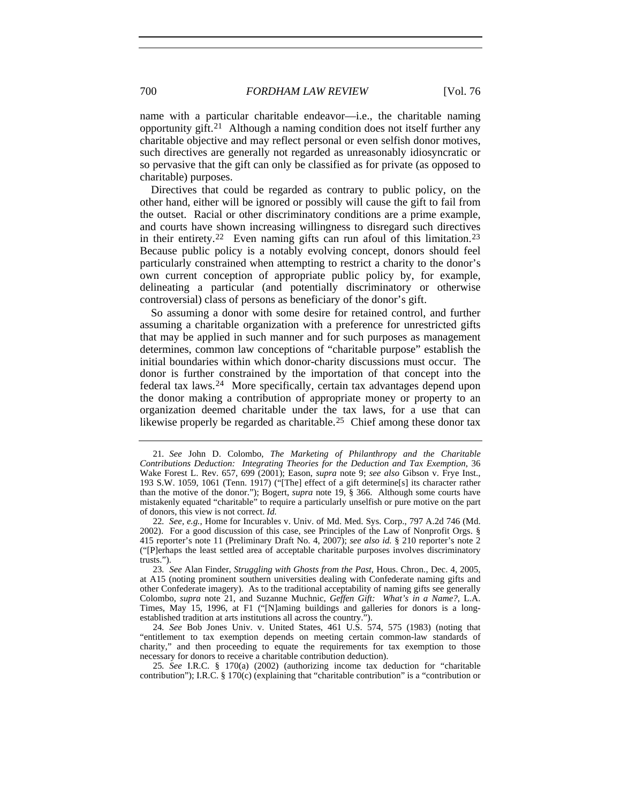name with a particular charitable endeavor—i.e., the charitable naming opportunity gift.[21](#page-7-0) Although a naming condition does not itself further any charitable objective and may reflect personal or even selfish donor motives, such directives are generally not regarded as unreasonably idiosyncratic or so pervasive that the gift can only be classified as for private (as opposed to charitable) purposes.

Directives that could be regarded as contrary to public policy, on the other hand, either will be ignored or possibly will cause the gift to fail from the outset. Racial or other discriminatory conditions are a prime example, and courts have shown increasing willingness to disregard such directives in their entirety.<sup>[22](#page-7-1)</sup> Even naming gifts can run afoul of this limitation.<sup>[23](#page-7-2)</sup> Because public policy is a notably evolving concept, donors should feel particularly constrained when attempting to restrict a charity to the donor's own current conception of appropriate public policy by, for example, delineating a particular (and potentially discriminatory or otherwise controversial) class of persons as beneficiary of the donor's gift.

So assuming a donor with some desire for retained control, and further assuming a charitable organization with a preference for unrestricted gifts that may be applied in such manner and for such purposes as management determines, common law conceptions of "charitable purpose" establish the initial boundaries within which donor-charity discussions must occur. The donor is further constrained by the importation of that concept into the federal tax laws.[24](#page-7-3) More specifically, certain tax advantages depend upon the donor making a contribution of appropriate money or property to an organization deemed charitable under the tax laws, for a use that can likewise properly be regarded as charitable.<sup>[25](#page-7-4)</sup> Chief among these donor tax

<span id="page-7-0"></span><sup>21</sup>*. See* John D. Colombo, *The Marketing of Philanthropy and the Charitable Contributions Deduction: Integrating Theories for the Deduction and Tax Exemption*, 36 Wake Forest L. Rev. 657, 699 (2001); Eason, *supra* note 9; *see also* Gibson v. Frye Inst., 193 S.W. 1059, 1061 (Tenn. 1917) ("[The] effect of a gift determine[s] its character rather than the motive of the donor."); Bogert, *supra* note 19, § 366. Although some courts have mistakenly equated "charitable" to require a particularly unselfish or pure motive on the part of donors, this view is not correct. *Id.*

<span id="page-7-1"></span><sup>22</sup>*. See, e.g.*, Home for Incurables v. Univ. of Md. Med. Sys. Corp., 797 A.2d 746 (Md. 2002). For a good discussion of this case, see Principles of the Law of Nonprofit Orgs. § 415 reporter's note 11 (Preliminary Draft No. 4, 2007); *see also id.* § 210 reporter's note 2 ("[P]erhaps the least settled area of acceptable charitable purposes involves discriminatory trusts.").

<span id="page-7-2"></span><sup>23</sup>*. See* Alan Finder, *Struggling with Ghosts from the Past*, Hous. Chron., Dec. 4, 2005, at A15 (noting prominent southern universities dealing with Confederate naming gifts and other Confederate imagery). As to the traditional acceptability of naming gifts see generally Colombo, *supra* note 21, and Suzanne Muchnic, *Geffen Gift: What's in a Name?*, L.A. Times, May 15, 1996, at F1 ("[N]aming buildings and galleries for donors is a longestablished tradition at arts institutions all across the country.").

<span id="page-7-3"></span><sup>24</sup>*. See* Bob Jones Univ. v. United States, 461 U.S. 574, 575 (1983) (noting that "entitlement to tax exemption depends on meeting certain common-law standards of charity," and then proceeding to equate the requirements for tax exemption to those necessary for donors to receive a charitable contribution deduction).

<span id="page-7-4"></span><sup>25</sup>*. See* I.R.C. § 170(a) (2002) (authorizing income tax deduction for "charitable contribution"); I.R.C. § 170(c) (explaining that "charitable contribution" is a "contribution or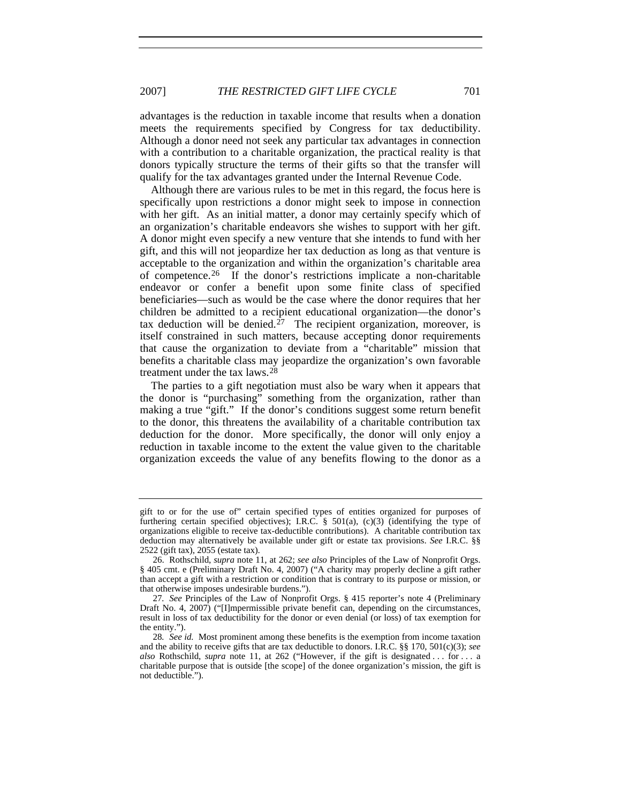advantages is the reduction in taxable income that results when a donation meets the requirements specified by Congress for tax deductibility. Although a donor need not seek any particular tax advantages in connection with a contribution to a charitable organization, the practical reality is that donors typically structure the terms of their gifts so that the transfer will qualify for the tax advantages granted under the Internal Revenue Code.

Although there are various rules to be met in this regard, the focus here is specifically upon restrictions a donor might seek to impose in connection with her gift. As an initial matter, a donor may certainly specify which of an organization's charitable endeavors she wishes to support with her gift. A donor might even specify a new venture that she intends to fund with her gift, and this will not jeopardize her tax deduction as long as that venture is acceptable to the organization and within the organization's charitable area of competence.[26](#page-8-0) If the donor's restrictions implicate a non-charitable endeavor or confer a benefit upon some finite class of specified beneficiaries—such as would be the case where the donor requires that her children be admitted to a recipient educational organization—the donor's tax deduction will be denied.<sup> $27$ </sup> The recipient organization, moreover, is itself constrained in such matters, because accepting donor requirements that cause the organization to deviate from a "charitable" mission that benefits a charitable class may jeopardize the organization's own favorable treatment under the tax laws.[28](#page-8-2)

The parties to a gift negotiation must also be wary when it appears that the donor is "purchasing" something from the organization, rather than making a true "gift." If the donor's conditions suggest some return benefit to the donor, this threatens the availability of a charitable contribution tax deduction for the donor. More specifically, the donor will only enjoy a reduction in taxable income to the extent the value given to the charitable organization exceeds the value of any benefits flowing to the donor as a

gift to or for the use of" certain specified types of entities organized for purposes of furthering certain specified objectives); I.R.C.  $\S$  501(a), (c)(3) (identifying the type of organizations eligible to receive tax-deductible contributions). A charitable contribution tax deduction may alternatively be available under gift or estate tax provisions. *See* I.R.C. §§ 2522 (gift tax), 2055 (estate tax).

<span id="page-8-0"></span><sup>26.</sup> Rothschild, *supra* note 11, at 262; *see also* Principles of the Law of Nonprofit Orgs. § 405 cmt. e (Preliminary Draft No. 4, 2007) ("A charity may properly decline a gift rather than accept a gift with a restriction or condition that is contrary to its purpose or mission, or that otherwise imposes undesirable burdens.").

<span id="page-8-1"></span><sup>27</sup>*. See* Principles of the Law of Nonprofit Orgs. § 415 reporter's note 4 (Preliminary Draft No. 4, 2007) ("[I]mpermissible private benefit can, depending on the circumstances, result in loss of tax deductibility for the donor or even denial (or loss) of tax exemption for the entity.").

<span id="page-8-2"></span><sup>28</sup>*. See id.* Most prominent among these benefits is the exemption from income taxation and the ability to receive gifts that are tax deductible to donors. I.R.C. §§ 170, 501(c)(3); *see also* Rothschild, *supra* note 11, at 262 ("However, if the gift is designated . . . for . . . a charitable purpose that is outside [the scope] of the donee organization's mission, the gift is not deductible.").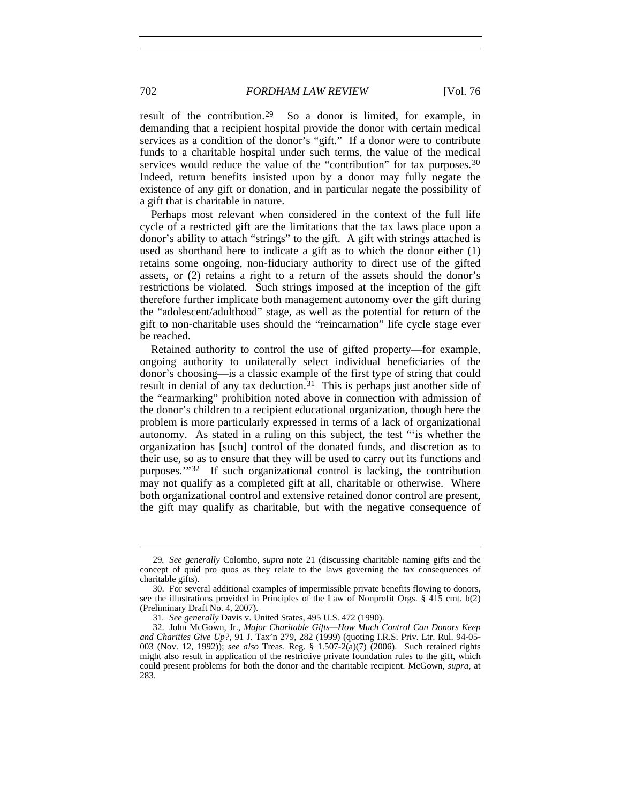result of the contribution.<sup>[29](#page-9-0)</sup> So a donor is limited, for example, in demanding that a recipient hospital provide the donor with certain medical services as a condition of the donor's "gift." If a donor were to contribute funds to a charitable hospital under such terms, the value of the medical services would reduce the value of the "contribution" for tax purposes.<sup>[30](#page-9-1)</sup> Indeed, return benefits insisted upon by a donor may fully negate the existence of any gift or donation, and in particular negate the possibility of a gift that is charitable in nature.

Perhaps most relevant when considered in the context of the full life cycle of a restricted gift are the limitations that the tax laws place upon a donor's ability to attach "strings" to the gift. A gift with strings attached is used as shorthand here to indicate a gift as to which the donor either (1) retains some ongoing, non-fiduciary authority to direct use of the gifted assets, or (2) retains a right to a return of the assets should the donor's restrictions be violated. Such strings imposed at the inception of the gift therefore further implicate both management autonomy over the gift during the "adolescent/adulthood" stage, as well as the potential for return of the gift to non-charitable uses should the "reincarnation" life cycle stage ever be reached.

Retained authority to control the use of gifted property—for example, ongoing authority to unilaterally select individual beneficiaries of the donor's choosing—is a classic example of the first type of string that could result in denial of any tax deduction. $31$  This is perhaps just another side of the "earmarking" prohibition noted above in connection with admission of the donor's children to a recipient educational organization, though here the problem is more particularly expressed in terms of a lack of organizational autonomy. As stated in a ruling on this subject, the test "'is whether the organization has [such] control of the donated funds, and discretion as to their use, so as to ensure that they will be used to carry out its functions and purposes.'"[32](#page-9-3) If such organizational control is lacking, the contribution may not qualify as a completed gift at all, charitable or otherwise. Where both organizational control and extensive retained donor control are present, the gift may qualify as charitable, but with the negative consequence of

<span id="page-9-0"></span><sup>29</sup>*. See generally* Colombo, *supra* note 21 (discussing charitable naming gifts and the concept of quid pro quos as they relate to the laws governing the tax consequences of charitable gifts).

<span id="page-9-1"></span><sup>30.</sup> For several additional examples of impermissible private benefits flowing to donors, see the illustrations provided in Principles of the Law of Nonprofit Orgs. § 415 cmt. b(2) (Preliminary Draft No. 4, 2007).

<sup>31</sup>*. See generally* Davis v. United States, 495 U.S. 472 (1990).

<span id="page-9-3"></span><span id="page-9-2"></span><sup>32.</sup> John McGown, Jr., *Major Charitable Gifts—How Much Control Can Donors Keep and Charities Give Up?*, 91 J. Tax'n 279, 282 (1999) (quoting I.R.S. Priv. Ltr. Rul. 94-05- 003 (Nov. 12, 1992)); *see also* Treas. Reg. § 1.507-2(a)(7) (2006). Such retained rights might also result in application of the restrictive private foundation rules to the gift, which could present problems for both the donor and the charitable recipient. McGown, *supra*, at 283.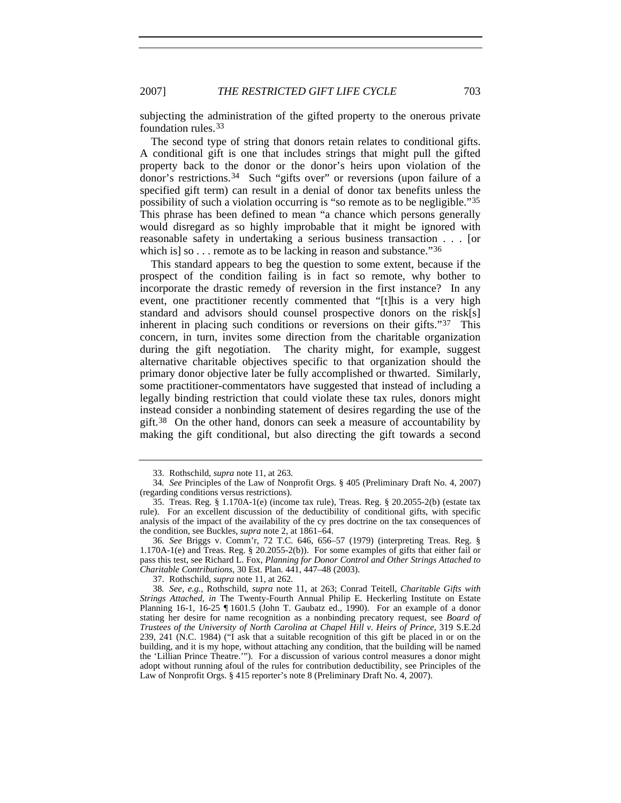subjecting the administration of the gifted property to the onerous private foundation rules.[33](#page-10-0)

The second type of string that donors retain relates to conditional gifts. A conditional gift is one that includes strings that might pull the gifted property back to the donor or the donor's heirs upon violation of the donor's restrictions.[34](#page-10-1) Such "gifts over" or reversions (upon failure of a specified gift term) can result in a denial of donor tax benefits unless the possibility of such a violation occurring is "so remote as to be negligible.["35](#page-10-2) This phrase has been defined to mean "a chance which persons generally would disregard as so highly improbable that it might be ignored with reasonable safety in undertaking a serious business transaction . . . [or which is] so . . . remote as to be lacking in reason and substance."<sup>[36](#page-10-3)</sup>

This standard appears to beg the question to some extent, because if the prospect of the condition failing is in fact so remote, why bother to incorporate the drastic remedy of reversion in the first instance? In any event, one practitioner recently commented that "[t]his is a very high standard and advisors should counsel prospective donors on the risk[s] inherent in placing such conditions or reversions on their gifts."[37](#page-10-4) This concern, in turn, invites some direction from the charitable organization during the gift negotiation. The charity might, for example, suggest alternative charitable objectives specific to that organization should the primary donor objective later be fully accomplished or thwarted. Similarly, some practitioner-commentators have suggested that instead of including a legally binding restriction that could violate these tax rules, donors might instead consider a nonbinding statement of desires regarding the use of the gift.<sup>[38](#page-10-5)</sup> On the other hand, donors can seek a measure of accountability by making the gift conditional, but also directing the gift towards a second

37. Rothschild, *supra* note 11, at 262.

<sup>33.</sup> Rothschild, *supra* note 11, at 263.

<span id="page-10-1"></span><span id="page-10-0"></span><sup>34</sup>*. See* Principles of the Law of Nonprofit Orgs. § 405 (Preliminary Draft No. 4, 2007) (regarding conditions versus restrictions).

<span id="page-10-2"></span><sup>35.</sup> Treas. Reg. § 1.170A-1(e) (income tax rule), Treas. Reg. § 20.2055-2(b) (estate tax rule). For an excellent discussion of the deductibility of conditional gifts, with specific analysis of the impact of the availability of the cy pres doctrine on the tax consequences of the condition, see Buckles, *supra* note 2, at 1861–64.

<span id="page-10-3"></span><sup>36</sup>*. See* Briggs v. Comm'r, 72 T.C. 646, 656–57 (1979) (interpreting Treas. Reg. § 1.170A-1(e) and Treas. Reg. § 20.2055-2(b)). For some examples of gifts that either fail or pass this test, see Richard L. Fox, *Planning for Donor Control and Other Strings Attached to Charitable Contributions*, 30 Est. Plan. 441, 447–48 (2003).

<span id="page-10-5"></span><span id="page-10-4"></span><sup>38</sup>*. See, e.g.*, Rothschild, *supra* note 11, at 263; Conrad Teitell, *Charitable Gifts with Strings Attached*, *in* The Twenty-Fourth Annual Philip E. Heckerling Institute on Estate Planning 16-1, 16-25 ¶ 1601.5 (John T. Gaubatz ed., 1990). For an example of a donor stating her desire for name recognition as a nonbinding precatory request, see *Board of Trustees of the University of North Carolina at Chapel Hill v. Heirs of Prince*, 319 S.E.2d 239, 241 (N.C. 1984) ("I ask that a suitable recognition of this gift be placed in or on the building, and it is my hope, without attaching any condition, that the building will be named the 'Lillian Prince Theatre.'"). For a discussion of various control measures a donor might adopt without running afoul of the rules for contribution deductibility, see Principles of the Law of Nonprofit Orgs. § 415 reporter's note 8 (Preliminary Draft No. 4, 2007).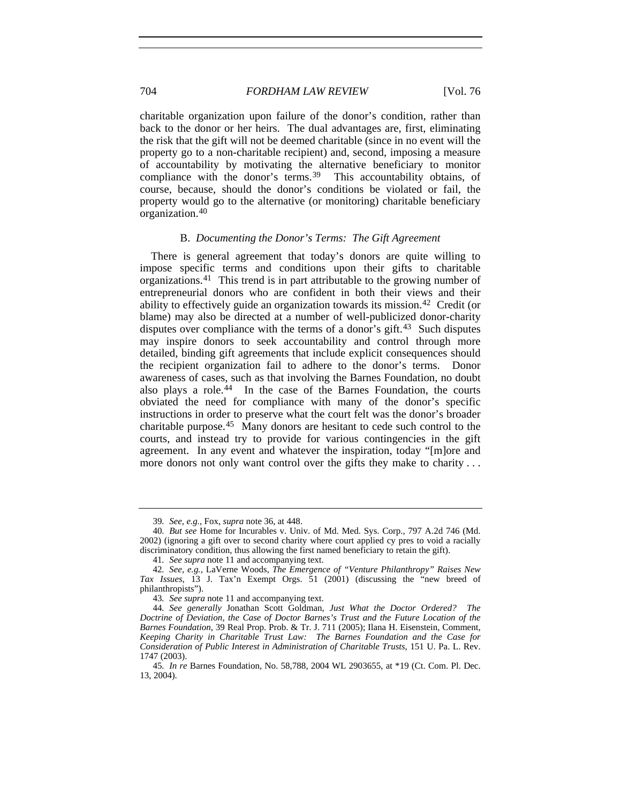charitable organization upon failure of the donor's condition, rather than back to the donor or her heirs. The dual advantages are, first, eliminating the risk that the gift will not be deemed charitable (since in no event will the property go to a non-charitable recipient) and, second, imposing a measure of accountability by motivating the alternative beneficiary to monitor compliance with the donor's terms.<sup>[39](#page-11-0)</sup> This accountability obtains, of course, because, should the donor's conditions be violated or fail, the property would go to the alternative (or monitoring) charitable beneficiary organization.[40](#page-11-1)

#### B. *Documenting the Donor's Terms: The Gift Agreement*

There is general agreement that today's donors are quite willing to impose specific terms and conditions upon their gifts to charitable organizations.[41](#page-11-2) This trend is in part attributable to the growing number of entrepreneurial donors who are confident in both their views and their ability to effectively guide an organization towards its mission.[42](#page-11-3) Credit (or blame) may also be directed at a number of well-publicized donor-charity disputes over compliance with the terms of a donor's gift.<sup>[43](#page-11-4)</sup> Such disputes may inspire donors to seek accountability and control through more detailed, binding gift agreements that include explicit consequences should the recipient organization fail to adhere to the donor's terms. Donor awareness of cases, such as that involving the Barnes Foundation, no doubt also plays a role.[44](#page-11-5) In the case of the Barnes Foundation, the courts obviated the need for compliance with many of the donor's specific instructions in order to preserve what the court felt was the donor's broader charitable purpose.[45](#page-11-6) Many donors are hesitant to cede such control to the courts, and instead try to provide for various contingencies in the gift agreement. In any event and whatever the inspiration, today "[m]ore and more donors not only want control over the gifts they make to charity ...

<sup>39</sup>*. See, e.g.*, Fox, *supra* note 36, at 448.

<span id="page-11-1"></span><span id="page-11-0"></span><sup>40</sup>*. But see* Home for Incurables v. Univ. of Md. Med. Sys. Corp., 797 A.2d 746 (Md. 2002) (ignoring a gift over to second charity where court applied cy pres to void a racially discriminatory condition, thus allowing the first named beneficiary to retain the gift).

<sup>41</sup>*. See supra* note 11 and accompanying text.

<span id="page-11-3"></span><span id="page-11-2"></span><sup>42</sup>*. See, e.g.*, LaVerne Woods, *The Emergence of "Venture Philanthropy" Raises New Tax Issues*, 13 J. Tax'n Exempt Orgs. 51 (2001) (discussing the "new breed of philanthropists").

<sup>43</sup>*. See supra* note 11 and accompanying text.

<span id="page-11-5"></span><span id="page-11-4"></span><sup>44</sup>*. See generally* Jonathan Scott Goldman, *Just What the Doctor Ordered? The Doctrine of Deviation, the Case of Doctor Barnes's Trust and the Future Location of the Barnes Foundation*, 39 Real Prop. Prob. & Tr. J. 711 (2005); Ilana H. Eisenstein, Comment, *Keeping Charity in Charitable Trust Law: The Barnes Foundation and the Case for Consideration of Public Interest in Administration of Charitable Trusts*, 151 U. Pa. L. Rev. 1747 (2003).

<span id="page-11-6"></span><sup>45</sup>*. In re* Barnes Foundation, No. 58,788, 2004 WL 2903655, at \*19 (Ct. Com. Pl. Dec. 13, 2004).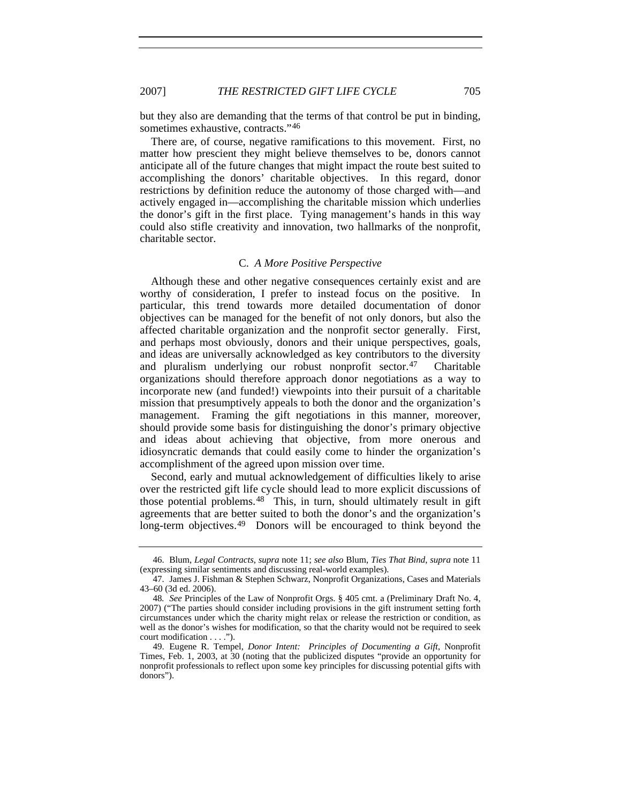but they also are demanding that the terms of that control be put in binding, sometimes exhaustive, contracts."<sup>[46](#page-12-0)</sup>

There are, of course, negative ramifications to this movement. First, no matter how prescient they might believe themselves to be, donors cannot anticipate all of the future changes that might impact the route best suited to accomplishing the donors' charitable objectives. In this regard, donor restrictions by definition reduce the autonomy of those charged with—and actively engaged in—accomplishing the charitable mission which underlies the donor's gift in the first place. Tying management's hands in this way could also stifle creativity and innovation, two hallmarks of the nonprofit, charitable sector.

# C. *A More Positive Perspective*

Although these and other negative consequences certainly exist and are worthy of consideration, I prefer to instead focus on the positive. In particular, this trend towards more detailed documentation of donor objectives can be managed for the benefit of not only donors, but also the affected charitable organization and the nonprofit sector generally. First, and perhaps most obviously, donors and their unique perspectives, goals, and ideas are universally acknowledged as key contributors to the diversity and pluralism underlying our robust nonprofit sector.[47](#page-12-1) Charitable organizations should therefore approach donor negotiations as a way to incorporate new (and funded!) viewpoints into their pursuit of a charitable mission that presumptively appeals to both the donor and the organization's management. Framing the gift negotiations in this manner, moreover, should provide some basis for distinguishing the donor's primary objective and ideas about achieving that objective, from more onerous and idiosyncratic demands that could easily come to hinder the organization's accomplishment of the agreed upon mission over time.

Second, early and mutual acknowledgement of difficulties likely to arise over the restricted gift life cycle should lead to more explicit discussions of those potential problems.[48](#page-12-2) This, in turn, should ultimately result in gift agreements that are better suited to both the donor's and the organization's long-term objectives.<sup>[49](#page-12-3)</sup> Donors will be encouraged to think beyond the

<span id="page-12-0"></span><sup>46.</sup> Blum, *Legal Contracts*, *supra* note 11; *see also* Blum, *Ties That Bind*, *supra* note 11 (expressing similar sentiments and discussing real-world examples).

<span id="page-12-1"></span><sup>47.</sup> James J. Fishman & Stephen Schwarz, Nonprofit Organizations, Cases and Materials 43–60 (3d ed. 2006).

<span id="page-12-2"></span><sup>48</sup>*. See* Principles of the Law of Nonprofit Orgs. § 405 cmt. a (Preliminary Draft No. 4, 2007) ("The parties should consider including provisions in the gift instrument setting forth circumstances under which the charity might relax or release the restriction or condition, as well as the donor's wishes for modification, so that the charity would not be required to seek court modification . . . .").

<span id="page-12-3"></span><sup>49.</sup> Eugene R. Tempel, *Donor Intent: Principles of Documenting a Gift*, Nonprofit Times, Feb. 1, 2003, at 30 (noting that the publicized disputes "provide an opportunity for nonprofit professionals to reflect upon some key principles for discussing potential gifts with donors").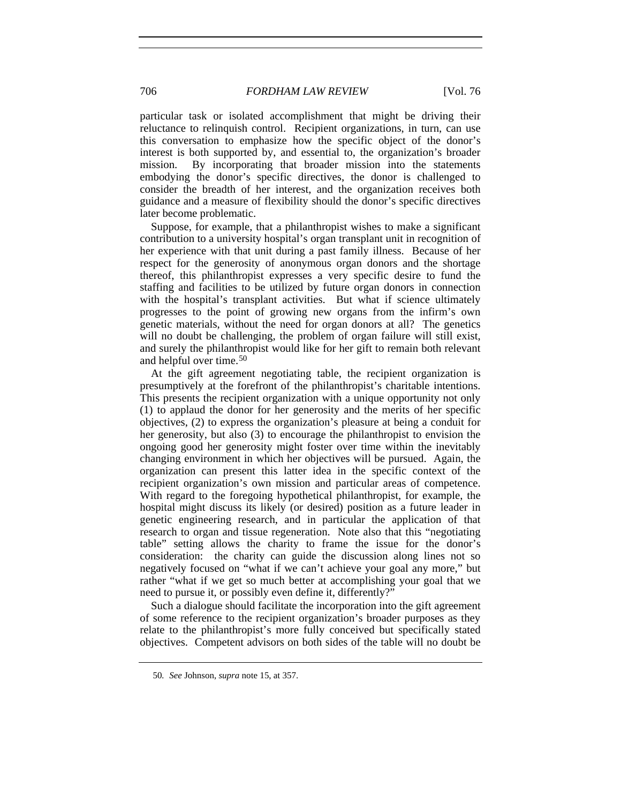particular task or isolated accomplishment that might be driving their reluctance to relinquish control. Recipient organizations, in turn, can use this conversation to emphasize how the specific object of the donor's interest is both supported by, and essential to, the organization's broader mission. By incorporating that broader mission into the statements embodying the donor's specific directives, the donor is challenged to consider the breadth of her interest, and the organization receives both guidance and a measure of flexibility should the donor's specific directives later become problematic.

Suppose, for example, that a philanthropist wishes to make a significant contribution to a university hospital's organ transplant unit in recognition of her experience with that unit during a past family illness. Because of her respect for the generosity of anonymous organ donors and the shortage thereof, this philanthropist expresses a very specific desire to fund the staffing and facilities to be utilized by future organ donors in connection with the hospital's transplant activities. But what if science ultimately progresses to the point of growing new organs from the infirm's own genetic materials, without the need for organ donors at all? The genetics will no doubt be challenging, the problem of organ failure will still exist, and surely the philanthropist would like for her gift to remain both relevant and helpful over time.[50](#page-13-0)

At the gift agreement negotiating table, the recipient organization is presumptively at the forefront of the philanthropist's charitable intentions. This presents the recipient organization with a unique opportunity not only (1) to applaud the donor for her generosity and the merits of her specific objectives, (2) to express the organization's pleasure at being a conduit for her generosity, but also (3) to encourage the philanthropist to envision the ongoing good her generosity might foster over time within the inevitably changing environment in which her objectives will be pursued. Again, the organization can present this latter idea in the specific context of the recipient organization's own mission and particular areas of competence. With regard to the foregoing hypothetical philanthropist, for example, the hospital might discuss its likely (or desired) position as a future leader in genetic engineering research, and in particular the application of that research to organ and tissue regeneration. Note also that this "negotiating table" setting allows the charity to frame the issue for the donor's consideration: the charity can guide the discussion along lines not so negatively focused on "what if we can't achieve your goal any more," but rather "what if we get so much better at accomplishing your goal that we need to pursue it, or possibly even define it, differently?"

Such a dialogue should facilitate the incorporation into the gift agreement of some reference to the recipient organization's broader purposes as they relate to the philanthropist's more fully conceived but specifically stated objectives. Competent advisors on both sides of the table will no doubt be

<span id="page-13-0"></span><sup>50</sup>*. See* Johnson, *supra* note 15, at 357.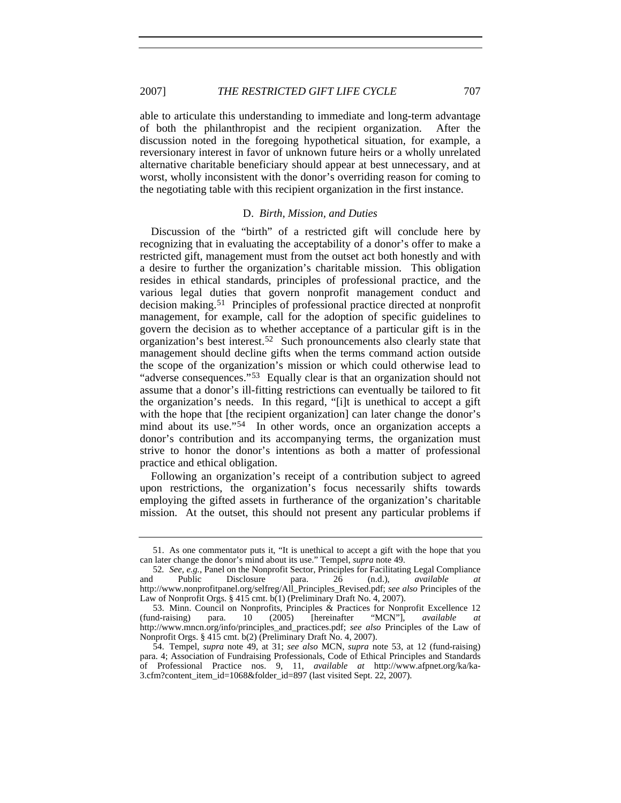able to articulate this understanding to immediate and long-term advantage of both the philanthropist and the recipient organization. After the discussion noted in the foregoing hypothetical situation, for example, a reversionary interest in favor of unknown future heirs or a wholly unrelated alternative charitable beneficiary should appear at best unnecessary, and at worst, wholly inconsistent with the donor's overriding reason for coming to the negotiating table with this recipient organization in the first instance.

#### D. *Birth, Mission, and Duties*

Discussion of the "birth" of a restricted gift will conclude here by recognizing that in evaluating the acceptability of a donor's offer to make a restricted gift, management must from the outset act both honestly and with a desire to further the organization's charitable mission. This obligation resides in ethical standards, principles of professional practice, and the various legal duties that govern nonprofit management conduct and decision making.[51](#page-14-0) Principles of professional practice directed at nonprofit management, for example, call for the adoption of specific guidelines to govern the decision as to whether acceptance of a particular gift is in the organization's best interest.[52](#page-14-1) Such pronouncements also clearly state that management should decline gifts when the terms command action outside the scope of the organization's mission or which could otherwise lead to "adverse consequences."<sup>[53](#page-14-2)</sup> Equally clear is that an organization should not assume that a donor's ill-fitting restrictions can eventually be tailored to fit the organization's needs. In this regard, "[i]t is unethical to accept a gift with the hope that [the recipient organization] can later change the donor's mind about its use."<sup>[54](#page-14-3)</sup> In other words, once an organization accepts a donor's contribution and its accompanying terms, the organization must strive to honor the donor's intentions as both a matter of professional practice and ethical obligation.

Following an organization's receipt of a contribution subject to agreed upon restrictions, the organization's focus necessarily shifts towards employing the gifted assets in furtherance of the organization's charitable mission. At the outset, this should not present any particular problems if

<span id="page-14-0"></span><sup>51.</sup> As one commentator puts it, "It is unethical to accept a gift with the hope that you can later change the donor's mind about its use." Tempel, *supra* note 49.

<span id="page-14-1"></span><sup>52</sup>*. See, e.g.*, Panel on the Nonprofit Sector, Principles for Facilitating Legal Compliance and Public Disclosure para. 26 (n.d.), *available at* http://www.nonprofitpanel.org/selfreg/All\_Principles\_Revised.pdf; *see also* Principles of the Law of Nonprofit Orgs. § 415 cmt. b(1) (Preliminary Draft No. 4, 2007).

<span id="page-14-2"></span><sup>53.</sup> Minn. Council on Nonprofits, Principles & Practices for Nonprofit Excellence 12 (fund-raising) para. 10 (2005) [hereinafter "MCN"], *available at* http://www.mncn.org/info/principles\_and\_practices.pdf; *see also* Principles of the Law of Nonprofit Orgs. § 415 cmt. b(2) (Preliminary Draft No. 4, 2007).

<span id="page-14-3"></span><sup>54.</sup> Tempel, *supra* note 49, at 31; *see also* MCN, *supra* note 53, at 12 (fund-raising) para. 4; Association of Fundraising Professionals, Code of Ethical Principles and Standards of Professional Practice nos. 9, 11, *available at* http://www.afpnet.org/ka/ka-3.cfm?content\_item\_id=1068&folder\_id=897 (last visited Sept. 22, 2007).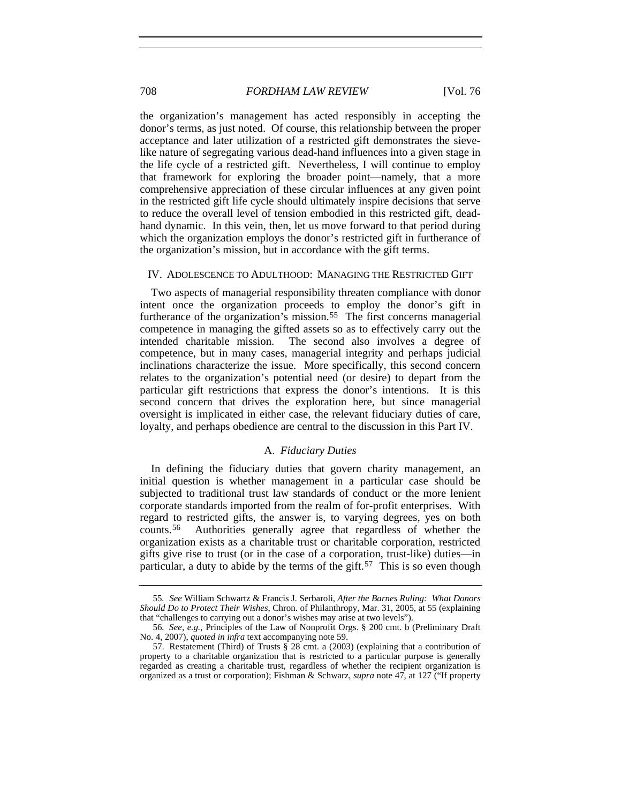the organization's management has acted responsibly in accepting the donor's terms, as just noted. Of course, this relationship between the proper acceptance and later utilization of a restricted gift demonstrates the sievelike nature of segregating various dead-hand influences into a given stage in the life cycle of a restricted gift. Nevertheless, I will continue to employ that framework for exploring the broader point—namely, that a more comprehensive appreciation of these circular influences at any given point in the restricted gift life cycle should ultimately inspire decisions that serve to reduce the overall level of tension embodied in this restricted gift, deadhand dynamic. In this vein, then, let us move forward to that period during which the organization employs the donor's restricted gift in furtherance of the organization's mission, but in accordance with the gift terms.

# IV. ADOLESCENCE TO ADULTHOOD: MANAGING THE RESTRICTED GIFT

Two aspects of managerial responsibility threaten compliance with donor intent once the organization proceeds to employ the donor's gift in furtherance of the organization's mission.<sup>[55](#page-15-0)</sup> The first concerns managerial competence in managing the gifted assets so as to effectively carry out the intended charitable mission. The second also involves a degree of competence, but in many cases, managerial integrity and perhaps judicial inclinations characterize the issue. More specifically, this second concern relates to the organization's potential need (or desire) to depart from the particular gift restrictions that express the donor's intentions. It is this second concern that drives the exploration here, but since managerial oversight is implicated in either case, the relevant fiduciary duties of care, loyalty, and perhaps obedience are central to the discussion in this Part IV.

# A. *Fiduciary Duties*

In defining the fiduciary duties that govern charity management, an initial question is whether management in a particular case should be subjected to traditional trust law standards of conduct or the more lenient corporate standards imported from the realm of for-profit enterprises. With regard to restricted gifts, the answer is, to varying degrees, yes on both counts.[56](#page-15-1) Authorities generally agree that regardless of whether the organization exists as a charitable trust or charitable corporation, restricted gifts give rise to trust (or in the case of a corporation, trust-like) duties—in particular, a duty to abide by the terms of the gift.<sup>[57](#page-15-2)</sup> This is so even though

<span id="page-15-0"></span><sup>55</sup>*. See* William Schwartz & Francis J. Serbaroli, *After the Barnes Ruling: What Donors Should Do to Protect Their Wishes*, Chron. of Philanthropy, Mar. 31, 2005, at 55 (explaining that "challenges to carrying out a donor's wishes may arise at two levels").

<span id="page-15-1"></span><sup>56</sup>*. See, e.g.*, Principles of the Law of Nonprofit Orgs. § 200 cmt. b (Preliminary Draft No. 4, 2007), *quoted in infra* text accompanying note 59.

<span id="page-15-2"></span><sup>57.</sup> Restatement (Third) of Trusts § 28 cmt. a (2003) (explaining that a contribution of property to a charitable organization that is restricted to a particular purpose is generally regarded as creating a charitable trust, regardless of whether the recipient organization is organized as a trust or corporation); Fishman & Schwarz, *supra* note 47, at 127 ("If property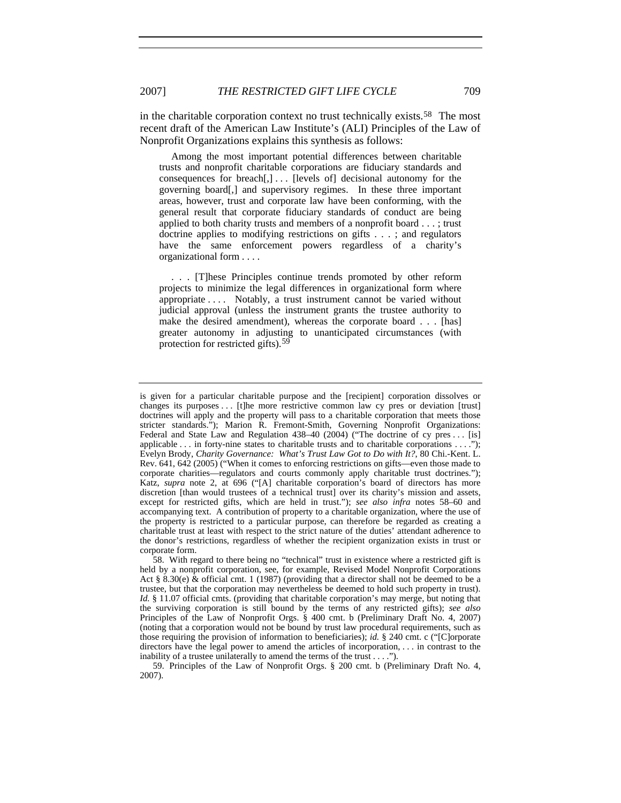in the charitable corporation context no trust technically exists.<sup>[58](#page-16-0)</sup> The most recent draft of the American Law Institute's (ALI) Principles of the Law of Nonprofit Organizations explains this synthesis as follows:

 Among the most important potential differences between charitable trusts and nonprofit charitable corporations are fiduciary standards and consequences for breach $[,$ ]... [levels of] decisional autonomy for the governing board[,] and supervisory regimes. In these three important areas, however, trust and corporate law have been conforming, with the general result that corporate fiduciary standards of conduct are being applied to both charity trusts and members of a nonprofit board . . . ; trust doctrine applies to modifying restrictions on gifts . . . ; and regulators have the same enforcement powers regardless of a charity's organizational form . . . .

 . . . [T]hese Principles continue trends promoted by other reform projects to minimize the legal differences in organizational form where appropriate . . . . Notably, a trust instrument cannot be varied without judicial approval (unless the instrument grants the trustee authority to make the desired amendment), whereas the corporate board . . . [has] greater autonomy in adjusting to unanticipated circumstances (with protection for restricted gifts).<sup>[59](#page-16-1)</sup>

<span id="page-16-1"></span>59. Principles of the Law of Nonprofit Orgs. § 200 cmt. b (Preliminary Draft No. 4, 2007).

is given for a particular charitable purpose and the [recipient] corporation dissolves or changes its purposes . . . [t]he more restrictive common law cy pres or deviation [trust] doctrines will apply and the property will pass to a charitable corporation that meets those stricter standards."); Marion R. Fremont-Smith, Governing Nonprofit Organizations: Federal and State Law and Regulation 438-40 (2004) ("The doctrine of cy pres . . . [is] applicable  $\dots$  in forty-nine states to charitable trusts and to charitable corporations  $\dots$ "); Evelyn Brody, *Charity Governance: What's Trust Law Got to Do with It?*, 80 Chi.-Kent. L. Rev. 641, 642 (2005) ("When it comes to enforcing restrictions on gifts—even those made to corporate charities—regulators and courts commonly apply charitable trust doctrines."); Katz, *supra* note 2, at 696 ("[A] charitable corporation's board of directors has more discretion [than would trustees of a technical trust] over its charity's mission and assets, except for restricted gifts, which are held in trust."); *see also infra* notes 58–60 and accompanying text. A contribution of property to a charitable organization, where the use of the property is restricted to a particular purpose, can therefore be regarded as creating a charitable trust at least with respect to the strict nature of the duties' attendant adherence to the donor's restrictions, regardless of whether the recipient organization exists in trust or corporate form.

<span id="page-16-0"></span><sup>58.</sup> With regard to there being no "technical" trust in existence where a restricted gift is held by a nonprofit corporation, see, for example, Revised Model Nonprofit Corporations Act § 8.30(e) & official cmt. 1 (1987) (providing that a director shall not be deemed to be a trustee, but that the corporation may nevertheless be deemed to hold such property in trust). *Id.* § 11.07 official cmts. (providing that charitable corporation's may merge, but noting that the surviving corporation is still bound by the terms of any restricted gifts); *see also* Principles of the Law of Nonprofit Orgs. § 400 cmt. b (Preliminary Draft No. 4, 2007) (noting that a corporation would not be bound by trust law procedural requirements, such as those requiring the provision of information to beneficiaries); *id.* § 240 cmt. c ("[C]orporate directors have the legal power to amend the articles of incorporation, . . . in contrast to the inability of a trustee unilaterally to amend the terms of the trust . . . .").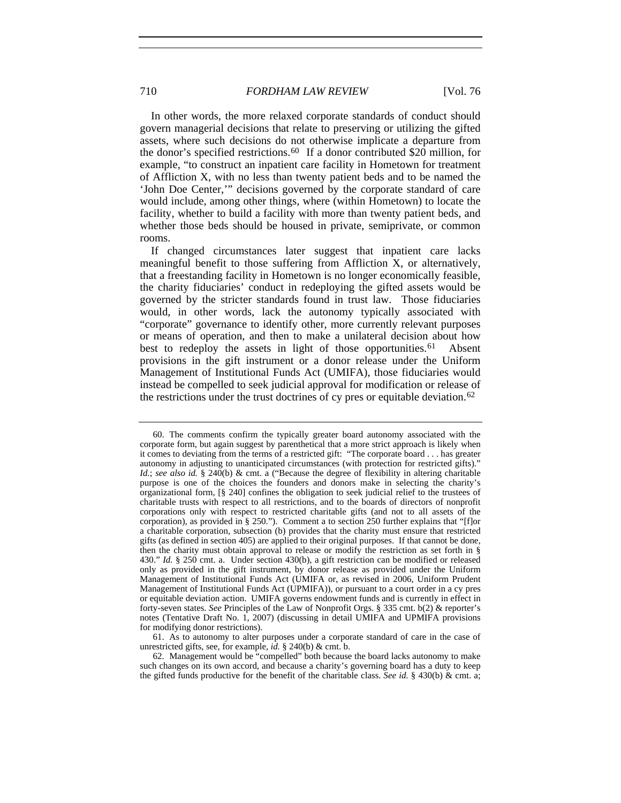In other words, the more relaxed corporate standards of conduct should govern managerial decisions that relate to preserving or utilizing the gifted assets, where such decisions do not otherwise implicate a departure from the donor's specified restrictions.[60](#page-17-0) If a donor contributed \$20 million, for example, "to construct an inpatient care facility in Hometown for treatment of Affliction X, with no less than twenty patient beds and to be named the 'John Doe Center,'" decisions governed by the corporate standard of care would include, among other things, where (within Hometown) to locate the facility, whether to build a facility with more than twenty patient beds, and whether those beds should be housed in private, semiprivate, or common rooms.

If changed circumstances later suggest that inpatient care lacks meaningful benefit to those suffering from Affliction X, or alternatively, that a freestanding facility in Hometown is no longer economically feasible, the charity fiduciaries' conduct in redeploying the gifted assets would be governed by the stricter standards found in trust law. Those fiduciaries would, in other words, lack the autonomy typically associated with "corporate" governance to identify other, more currently relevant purposes or means of operation, and then to make a unilateral decision about how best to redeploy the assets in light of those opportunities.<sup>[61](#page-17-1)</sup> Absent provisions in the gift instrument or a donor release under the Uniform Management of Institutional Funds Act (UMIFA), those fiduciaries would instead be compelled to seek judicial approval for modification or release of the restrictions under the trust doctrines of cy pres or equitable deviation.<sup>[62](#page-17-2)</sup>

<span id="page-17-1"></span>61. As to autonomy to alter purposes under a corporate standard of care in the case of unrestricted gifts, see, for example, *id.* § 240(b) & cmt. b.

<span id="page-17-2"></span>62. Management would be "compelled" both because the board lacks autonomy to make such changes on its own accord, and because a charity's governing board has a duty to keep the gifted funds productive for the benefit of the charitable class. *See id.* § 430(b) & cmt. a;

<span id="page-17-0"></span><sup>60.</sup> The comments confirm the typically greater board autonomy associated with the corporate form, but again suggest by parenthetical that a more strict approach is likely when it comes to deviating from the terms of a restricted gift: "The corporate board . . . has greater autonomy in adjusting to unanticipated circumstances (with protection for restricted gifts)." *Id.*; *see also id.* § 240(b) & cmt. a ("Because the degree of flexibility in altering charitable purpose is one of the choices the founders and donors make in selecting the charity's organizational form, [§ 240] confines the obligation to seek judicial relief to the trustees of charitable trusts with respect to all restrictions, and to the boards of directors of nonprofit corporations only with respect to restricted charitable gifts (and not to all assets of the corporation), as provided in § 250."). Comment a to section 250 further explains that "[f]or a charitable corporation, subsection (b) provides that the charity must ensure that restricted gifts (as defined in section 405) are applied to their original purposes. If that cannot be done, then the charity must obtain approval to release or modify the restriction as set forth in § 430." *Id.* § 250 cmt. a. Under section 430(b), a gift restriction can be modified or released only as provided in the gift instrument, by donor release as provided under the Uniform Management of Institutional Funds Act (UMIFA or, as revised in 2006, Uniform Prudent Management of Institutional Funds Act (UPMIFA)), or pursuant to a court order in a cy pres or equitable deviation action. UMIFA governs endowment funds and is currently in effect in forty-seven states. *See* Principles of the Law of Nonprofit Orgs. § 335 cmt. b(2) & reporter's notes (Tentative Draft No. 1, 2007) (discussing in detail UMIFA and UPMIFA provisions for modifying donor restrictions).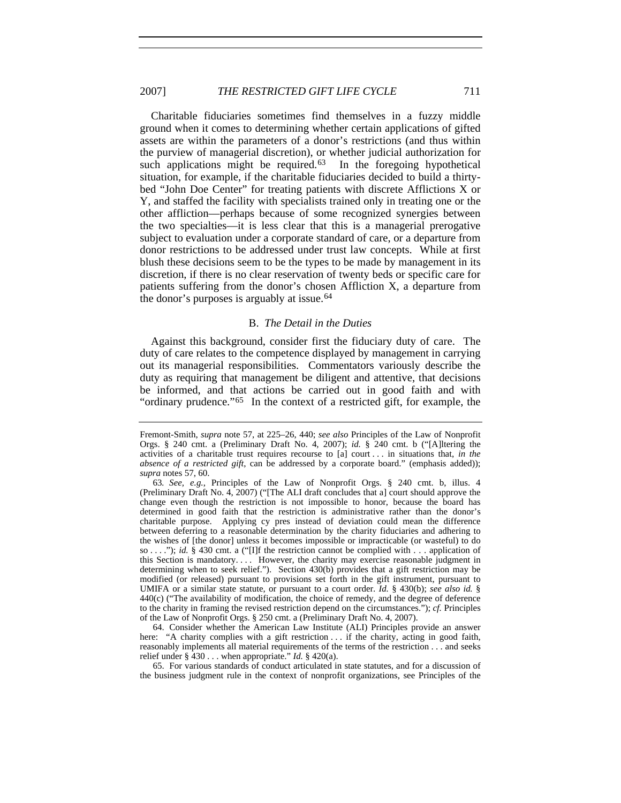Charitable fiduciaries sometimes find themselves in a fuzzy middle ground when it comes to determining whether certain applications of gifted assets are within the parameters of a donor's restrictions (and thus within the purview of managerial discretion), or whether judicial authorization for such applications might be required.<sup>[63](#page-18-0)</sup> In the foregoing hypothetical situation, for example, if the charitable fiduciaries decided to build a thirtybed "John Doe Center" for treating patients with discrete Afflictions X or Y, and staffed the facility with specialists trained only in treating one or the other affliction—perhaps because of some recognized synergies between the two specialties—it is less clear that this is a managerial prerogative subject to evaluation under a corporate standard of care, or a departure from donor restrictions to be addressed under trust law concepts. While at first blush these decisions seem to be the types to be made by management in its discretion, if there is no clear reservation of twenty beds or specific care for patients suffering from the donor's chosen Affliction X, a departure from the donor's purposes is arguably at issue.<sup>[64](#page-18-1)</sup>

#### B. *The Detail in the Duties*

Against this background, consider first the fiduciary duty of care. The duty of care relates to the competence displayed by management in carrying out its managerial responsibilities. Commentators variously describe the duty as requiring that management be diligent and attentive, that decisions be informed, and that actions be carried out in good faith and with "ordinary prudence."[65](#page-18-2) In the context of a restricted gift, for example, the

<span id="page-18-1"></span>64. Consider whether the American Law Institute (ALI) Principles provide an answer here: "A charity complies with a gift restriction . . . if the charity, acting in good faith, reasonably implements all material requirements of the terms of the restriction . . . and seeks relief under § 430 . . . when appropriate." *Id.* § 420(a).

<span id="page-18-2"></span>65. For various standards of conduct articulated in state statutes, and for a discussion of the business judgment rule in the context of nonprofit organizations, see Principles of the

Fremont-Smith, *supra* note 57, at 225–26, 440; *see also* Principles of the Law of Nonprofit Orgs. § 240 cmt. a (Preliminary Draft No. 4, 2007); *id.* § 240 cmt. b ("[A]ltering the activities of a charitable trust requires recourse to [a] court . . . in situations that, *in the absence of a restricted gift*, can be addressed by a corporate board." (emphasis added)); *supra* notes 57, 60.

<span id="page-18-0"></span><sup>63</sup>*. See, e.g.*, Principles of the Law of Nonprofit Orgs. § 240 cmt. b, illus. 4 (Preliminary Draft No. 4, 2007) ("[The ALI draft concludes that a] court should approve the change even though the restriction is not impossible to honor, because the board has determined in good faith that the restriction is administrative rather than the donor's charitable purpose. Applying cy pres instead of deviation could mean the difference between deferring to a reasonable determination by the charity fiduciaries and adhering to the wishes of [the donor] unless it becomes impossible or impracticable (or wasteful) to do so . . . ."); *id.* § 430 cmt. a ("[I]f the restriction cannot be complied with . . . application of this Section is mandatory. . . . However, the charity may exercise reasonable judgment in determining when to seek relief."). Section 430(b) provides that a gift restriction may be modified (or released) pursuant to provisions set forth in the gift instrument, pursuant to UMIFA or a similar state statute, or pursuant to a court order. *Id.* § 430(b); *see also id.* § 440(c) ("The availability of modification, the choice of remedy, and the degree of deference to the charity in framing the revised restriction depend on the circumstances."); *cf.* Principles of the Law of Nonprofit Orgs. § 250 cmt. a (Preliminary Draft No. 4, 2007).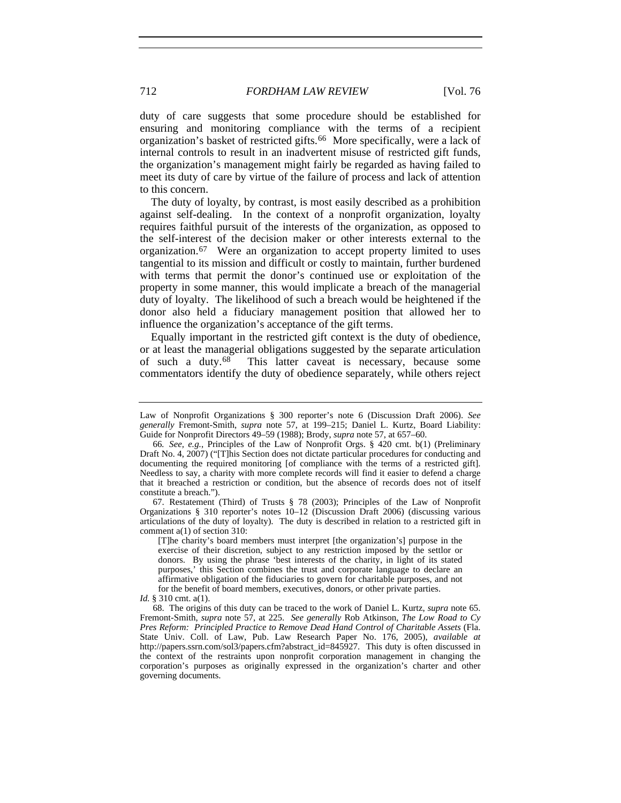duty of care suggests that some procedure should be established for ensuring and monitoring compliance with the terms of a recipient organization's basket of restricted gifts.[66](#page-19-0) More specifically, were a lack of internal controls to result in an inadvertent misuse of restricted gift funds, the organization's management might fairly be regarded as having failed to meet its duty of care by virtue of the failure of process and lack of attention to this concern.

The duty of loyalty, by contrast, is most easily described as a prohibition against self-dealing. In the context of a nonprofit organization, loyalty requires faithful pursuit of the interests of the organization, as opposed to the self-interest of the decision maker or other interests external to the organization.[67](#page-19-1) Were an organization to accept property limited to uses tangential to its mission and difficult or costly to maintain, further burdened with terms that permit the donor's continued use or exploitation of the property in some manner, this would implicate a breach of the managerial duty of loyalty. The likelihood of such a breach would be heightened if the donor also held a fiduciary management position that allowed her to influence the organization's acceptance of the gift terms.

Equally important in the restricted gift context is the duty of obedience, or at least the managerial obligations suggested by the separate articulation<br>of such a duty.<sup>68</sup> This latter caveat is necessary, because some This latter caveat is necessary, because some commentators identify the duty of obedience separately, while others reject

<span id="page-19-1"></span>67. Restatement (Third) of Trusts § 78 (2003); Principles of the Law of Nonprofit Organizations § 310 reporter's notes 10–12 (Discussion Draft 2006) (discussing various articulations of the duty of loyalty). The duty is described in relation to a restricted gift in comment a(1) of section 310:

Law of Nonprofit Organizations § 300 reporter's note 6 (Discussion Draft 2006). *See generally* Fremont-Smith, *supra* note 57, at 199–215; Daniel L. Kurtz, Board Liability: Guide for Nonprofit Directors 49–59 (1988); Brody, *supra* note 57, at 657–60.

<span id="page-19-0"></span><sup>66</sup>*. See, e.g.*, Principles of the Law of Nonprofit Orgs. § 420 cmt. b(1) (Preliminary Draft No. 4, 2007) ("[T]his Section does not dictate particular procedures for conducting and documenting the required monitoring [of compliance with the terms of a restricted gift]. Needless to say, a charity with more complete records will find it easier to defend a charge that it breached a restriction or condition, but the absence of records does not of itself constitute a breach.").

<sup>[</sup>T]he charity's board members must interpret [the organization's] purpose in the exercise of their discretion, subject to any restriction imposed by the settlor or donors. By using the phrase 'best interests of the charity, in light of its stated purposes,' this Section combines the trust and corporate language to declare an affirmative obligation of the fiduciaries to govern for charitable purposes, and not for the benefit of board members, executives, donors, or other private parties.

*Id.* § 310 cmt. a(1).

<span id="page-19-2"></span><sup>68.</sup> The origins of this duty can be traced to the work of Daniel L. Kurtz, *supra* note 65. Fremont-Smith, *supra* note 57, at 225. *See generally* Rob Atkinson, *The Low Road to Cy Pres Reform: Principled Practice to Remove Dead Hand Control of Charitable Assets* (Fla. State Univ. Coll. of Law, Pub. Law Research Paper No. 176, 2005), *available at* http://papers.ssrn.com/sol3/papers.cfm?abstract\_id=845927. This duty is often discussed in the context of the restraints upon nonprofit corporation management in changing the corporation's purposes as originally expressed in the organization's charter and other governing documents.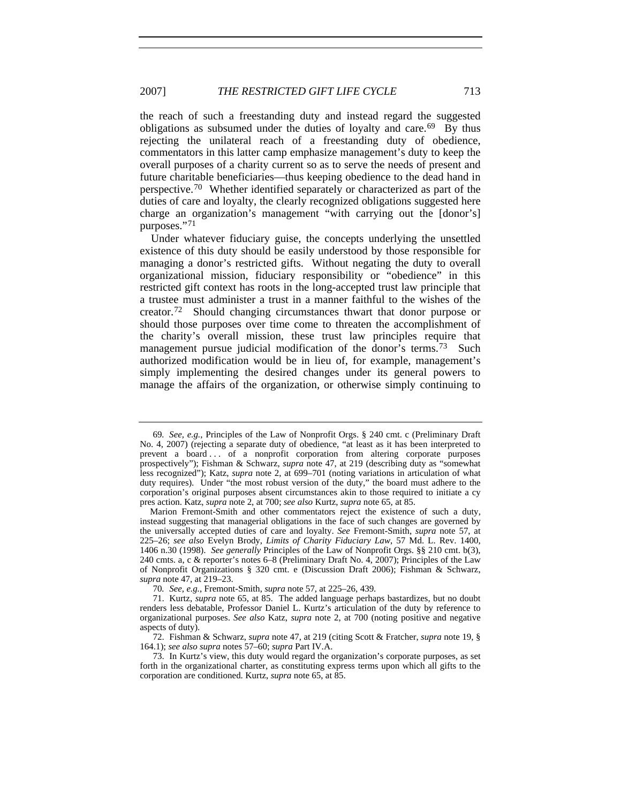the reach of such a freestanding duty and instead regard the suggested obligations as subsumed under the duties of loyalty and care.<sup>[69](#page-20-0)</sup> By thus rejecting the unilateral reach of a freestanding duty of obedience, commentators in this latter camp emphasize management's duty to keep the overall purposes of a charity current so as to serve the needs of present and future charitable beneficiaries—thus keeping obedience to the dead hand in perspective.[70](#page-20-1) Whether identified separately or characterized as part of the duties of care and loyalty, the clearly recognized obligations suggested here charge an organization's management "with carrying out the [donor's] purposes."[71](#page-20-2)

Under whatever fiduciary guise, the concepts underlying the unsettled existence of this duty should be easily understood by those responsible for managing a donor's restricted gifts. Without negating the duty to overall organizational mission, fiduciary responsibility or "obedience" in this restricted gift context has roots in the long-accepted trust law principle that a trustee must administer a trust in a manner faithful to the wishes of the creator.[72](#page-20-3) Should changing circumstances thwart that donor purpose or should those purposes over time come to threaten the accomplishment of the charity's overall mission, these trust law principles require that management pursue judicial modification of the donor's terms.<sup>[73](#page-20-4)</sup> Such authorized modification would be in lieu of, for example, management's simply implementing the desired changes under its general powers to manage the affairs of the organization, or otherwise simply continuing to

<span id="page-20-0"></span><sup>69</sup>*. See, e.g.*, Principles of the Law of Nonprofit Orgs. § 240 cmt. c (Preliminary Draft No. 4, 2007) (rejecting a separate duty of obedience, "at least as it has been interpreted to prevent a board . . . of a nonprofit corporation from altering corporate purposes prospectively"); Fishman & Schwarz, *supra* note 47, at 219 (describing duty as "somewhat less recognized"); Katz, *supra* note 2, at 699–701 (noting variations in articulation of what duty requires). Under "the most robust version of the duty," the board must adhere to the corporation's original purposes absent circumstances akin to those required to initiate a cy pres action. Katz, *supra* note 2, at 700; *see also* Kurtz, *supra* note 65, at 85.

Marion Fremont-Smith and other commentators reject the existence of such a duty, instead suggesting that managerial obligations in the face of such changes are governed by the universally accepted duties of care and loyalty. *See* Fremont-Smith, *supra* note 57, at 225–26; *see also* Evelyn Brody, *Limits of Charity Fiduciary Law*, 57 Md. L. Rev. 1400, 1406 n.30 (1998). *See generally* Principles of the Law of Nonprofit Orgs. §§ 210 cmt. b(3), 240 cmts. a, c & reporter's notes 6–8 (Preliminary Draft No. 4, 2007); Principles of the Law of Nonprofit Organizations § 320 cmt. e (Discussion Draft 2006); Fishman & Schwarz, *supra* note 47, at 219–23.

<sup>70</sup>*. See, e.g.*, Fremont-Smith, *supra* note 57, at 225–26, 439.

<span id="page-20-2"></span><span id="page-20-1"></span><sup>71.</sup> Kurtz, *supra* note 65, at 85. The added language perhaps bastardizes, but no doubt renders less debatable, Professor Daniel L. Kurtz's articulation of the duty by reference to organizational purposes. *See also* Katz, *supra* note 2, at 700 (noting positive and negative aspects of duty).

<span id="page-20-3"></span><sup>72.</sup> Fishman & Schwarz, *supra* note 47, at 219 (citing Scott & Fratcher, *supra* note 19, § 164.1); *see also supra* notes 57–60; *supra* Part IV.A.

<span id="page-20-4"></span><sup>73.</sup> In Kurtz's view, this duty would regard the organization's corporate purposes, as set forth in the organizational charter, as constituting express terms upon which all gifts to the corporation are conditioned. Kurtz, *supra* note 65, at 85.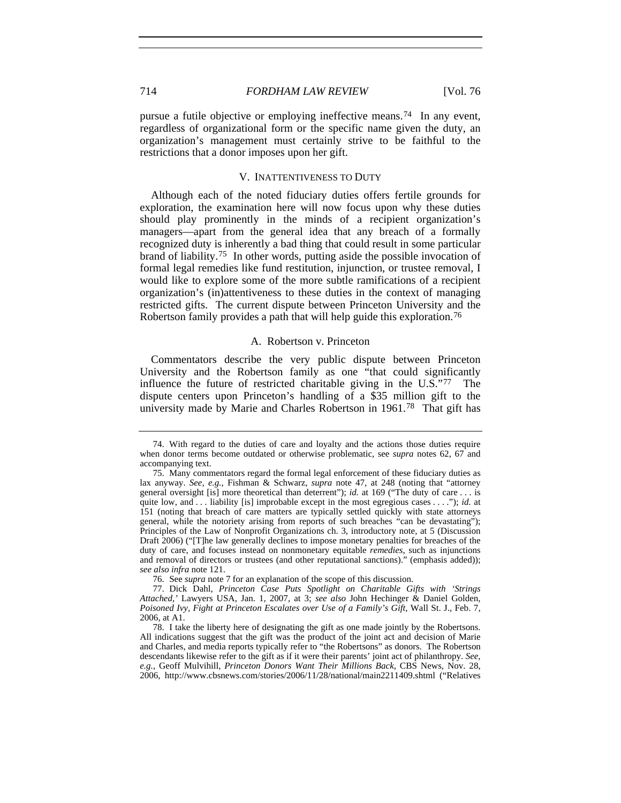pursue a futile objective or employing ineffective means.<sup>[74](#page-21-0)</sup> In any event, regardless of organizational form or the specific name given the duty, an organization's management must certainly strive to be faithful to the restrictions that a donor imposes upon her gift.

#### V. INATTENTIVENESS TO DUTY

Although each of the noted fiduciary duties offers fertile grounds for exploration, the examination here will now focus upon why these duties should play prominently in the minds of a recipient organization's managers—apart from the general idea that any breach of a formally recognized duty is inherently a bad thing that could result in some particular brand of liability.[75](#page-21-1) In other words, putting aside the possible invocation of formal legal remedies like fund restitution, injunction, or trustee removal, I would like to explore some of the more subtle ramifications of a recipient organization's (in)attentiveness to these duties in the context of managing restricted gifts. The current dispute between Princeton University and the Robertson family provides a path that will help guide this exploration.<sup>[76](#page-21-2)</sup>

#### A. Robertson v. Princeton

Commentators describe the very public dispute between Princeton University and the Robertson family as one "that could significantly influence the future of restricted charitable giving in the U.S."[77](#page-21-3) The dispute centers upon Princeton's handling of a \$35 million gift to the university made by Marie and Charles Robertson in 1961.[78](#page-21-4) That gift has

76. See *supra* note 7 for an explanation of the scope of this discussion.

<span id="page-21-0"></span><sup>74.</sup> With regard to the duties of care and loyalty and the actions those duties require when donor terms become outdated or otherwise problematic, see *supra* notes 62, 67 and accompanying text.

<span id="page-21-1"></span><sup>75.</sup> Many commentators regard the formal legal enforcement of these fiduciary duties as lax anyway. *See, e.g.*, Fishman & Schwarz, *supra* note 47, at 248 (noting that "attorney general oversight [is] more theoretical than deterrent"); *id.* at 169 ("The duty of care . . . is quite low, and . . . liability [is] improbable except in the most egregious cases . . . ."); *id.* at 151 (noting that breach of care matters are typically settled quickly with state attorneys general, while the notoriety arising from reports of such breaches "can be devastating"); Principles of the Law of Nonprofit Organizations ch. 3, introductory note, at 5 (Discussion Draft 2006) ("[T]he law generally declines to impose monetary penalties for breaches of the duty of care, and focuses instead on nonmonetary equitable *remedies*, such as injunctions and removal of directors or trustees (and other reputational sanctions)." (emphasis added)); *see also infra* note 121.

<span id="page-21-3"></span><span id="page-21-2"></span><sup>77.</sup> Dick Dahl, *Princeton Case Puts Spotlight on Charitable Gifts with 'Strings Attached*,*'* Lawyers USA, Jan. 1, 2007, at 3; *see also* John Hechinger & Daniel Golden, Poisoned Ivy, Fight at Princeton Escalates over Use of a Family's Gift, Wall St. J., Feb. 7, 2006, at A1.

<span id="page-21-4"></span><sup>78.</sup> I take the liberty here of designating the gift as one made jointly by the Robertsons. All indications suggest that the gift was the product of the joint act and decision of Marie and Charles, and media reports typically refer to "the Robertsons" as donors. The Robertson descendants likewise refer to the gift as if it were their parents' joint act of philanthropy. *See, e.g.*, Geoff Mulvihill, *Princeton Donors Want Their Millions Back*, CBS News, Nov. 28, 2006, http://www.cbsnews.com/stories/2006/11/28/national/main2211409.shtml ("Relatives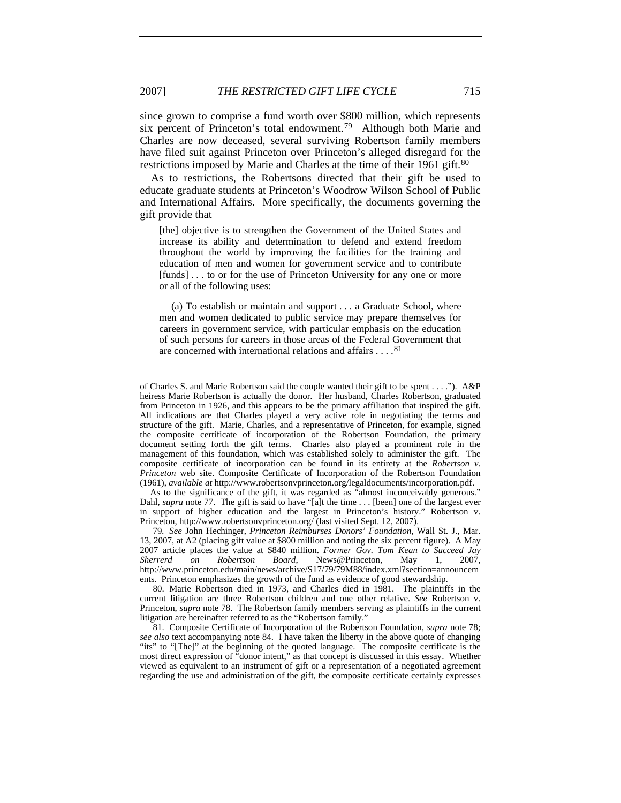since grown to comprise a fund worth over \$800 million, which represents six percent of Princeton's total endowment.<sup>[79](#page-22-0)</sup> Although both Marie and Charles are now deceased, several surviving Robertson family members have filed suit against Princeton over Princeton's alleged disregard for the restrictions imposed by Marie and Charles at the time of their 1961 gift.<sup>[80](#page-22-1)</sup>

As to restrictions, the Robertsons directed that their gift be used to educate graduate students at Princeton's Woodrow Wilson School of Public and International Affairs. More specifically, the documents governing the gift provide that

[the] objective is to strengthen the Government of the United States and increase its ability and determination to defend and extend freedom throughout the world by improving the facilities for the training and education of men and women for government service and to contribute [funds] . . . to or for the use of Princeton University for any one or more or all of the following uses:

 (a) To establish or maintain and support . . . a Graduate School, where men and women dedicated to public service may prepare themselves for careers in government service, with particular emphasis on the education of such persons for careers in those areas of the Federal Government that are concerned with international relations and affairs  $\dots$ .<sup>[81](#page-22-2)</sup>

As to the significance of the gift, it was regarded as "almost inconceivably generous." Dahl, *supra* note 77. The gift is said to have "[a]t the time . . . [been] one of the largest ever in support of higher education and the largest in Princeton's history." Robertson v. Princeton, http://www.robertsonvprinceton.org/ (last visited Sept. 12, 2007).

<span id="page-22-0"></span>79*. See* John Hechinger, *Princeton Reimburses Donors' Foundation*, Wall St. J., Mar. 13, 2007, at A2 (placing gift value at \$800 million and noting the six percent figure). A May 2007 article places the value at \$840 million. *Former Gov. Tom Kean to Succeed Jay Sherrerd on Robertson Board*, News@Princeton, May 1, 2007, http://www.princeton.edu/main/news/archive/S17/79/79M88/index.xml?section=announcem ents. Princeton emphasizes the growth of the fund as evidence of good stewardship.

<span id="page-22-1"></span>80. Marie Robertson died in 1973, and Charles died in 1981. The plaintiffs in the current litigation are three Robertson children and one other relative. *See* Robertson v. Princeton, *supra* note 78. The Robertson family members serving as plaintiffs in the current litigation are hereinafter referred to as the "Robertson family."

<span id="page-22-2"></span>81. Composite Certificate of Incorporation of the Robertson Foundation, *supra* note 78; *see also* text accompanying note 84. I have taken the liberty in the above quote of changing "its" to "[The]" at the beginning of the quoted language. The composite certificate is the most direct expression of "donor intent," as that concept is discussed in this essay. Whether viewed as equivalent to an instrument of gift or a representation of a negotiated agreement regarding the use and administration of the gift, the composite certificate certainly expresses

of Charles S. and Marie Robertson said the couple wanted their gift to be spent . . . ."). A&P heiress Marie Robertson is actually the donor. Her husband, Charles Robertson, graduated from Princeton in 1926, and this appears to be the primary affiliation that inspired the gift. All indications are that Charles played a very active role in negotiating the terms and structure of the gift. Marie, Charles, and a representative of Princeton, for example, signed the composite certificate of incorporation of the Robertson Foundation, the primary document setting forth the gift terms. Charles also played a prominent role in the management of this foundation, which was established solely to administer the gift. The composite certificate of incorporation can be found in its entirety at the *Robertson v. Princeton* web site. Composite Certificate of Incorporation of the Robertson Foundation (1961), *available at* http://www.robertsonvprinceton.org/legaldocuments/incorporation.pdf.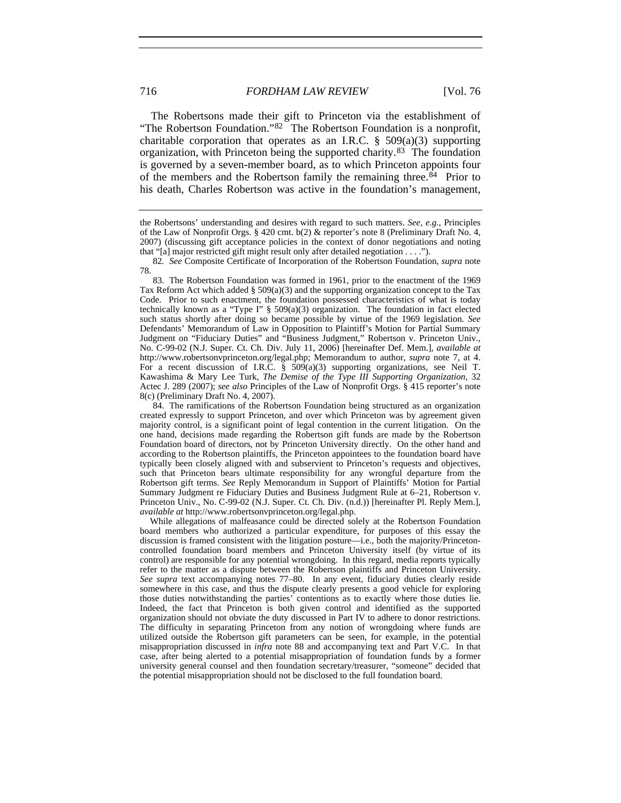The Robertsons made their gift to Princeton via the establishment of "The Robertson Foundation."[82](#page-23-0) The Robertson Foundation is a nonprofit, charitable corporation that operates as an I.R.C.  $\S$  509(a)(3) supporting organization, with Princeton being the supported charity.[83](#page-23-1) The foundation is governed by a seven-member board, as to which Princeton appoints four of the members and the Robertson family the remaining three.<sup>[84](#page-23-2)</sup> Prior to his death, Charles Robertson was active in the foundation's management,

<span id="page-23-2"></span>84. The ramifications of the Robertson Foundation being structured as an organization created expressly to support Princeton, and over which Princeton was by agreement given majority control, is a significant point of legal contention in the current litigation. On the one hand, decisions made regarding the Robertson gift funds are made by the Robertson Foundation board of directors, not by Princeton University directly. On the other hand and according to the Robertson plaintiffs, the Princeton appointees to the foundation board have typically been closely aligned with and subservient to Princeton's requests and objectives, such that Princeton bears ultimate responsibility for any wrongful departure from the Robertson gift terms. *See* Reply Memorandum in Support of Plaintiffs' Motion for Partial Summary Judgment re Fiduciary Duties and Business Judgment Rule at 6–21, Robertson v. Princeton Univ., No. C-99-02 (N.J. Super. Ct. Ch. Div. (n.d.)) [hereinafter Pl. Reply Mem.], *available at* http://www.robertsonvprinceton.org/legal.php.

While allegations of malfeasance could be directed solely at the Robertson Foundation board members who authorized a particular expenditure, for purposes of this essay the discussion is framed consistent with the litigation posture—i.e., both the majority/Princetoncontrolled foundation board members and Princeton University itself (by virtue of its control) are responsible for any potential wrongdoing. In this regard, media reports typically refer to the matter as a dispute between the Robertson plaintiffs and Princeton University. *See supra* text accompanying notes 77–80. In any event, fiduciary duties clearly reside somewhere in this case, and thus the dispute clearly presents a good vehicle for exploring those duties notwithstanding the parties' contentions as to exactly where those duties lie. Indeed, the fact that Princeton is both given control and identified as the supported organization should not obviate the duty discussed in Part IV to adhere to donor restrictions. The difficulty in separating Princeton from any notion of wrongdoing where funds are utilized outside the Robertson gift parameters can be seen, for example, in the potential misappropriation discussed in *infra* note 88 and accompanying text and Part V.C. In that case, after being alerted to a potential misappropriation of foundation funds by a former university general counsel and then foundation secretary/treasurer, "someone" decided that the potential misappropriation should not be disclosed to the full foundation board.

the Robertsons' understanding and desires with regard to such matters. *See, e.g.*, Principles of the Law of Nonprofit Orgs. § 420 cmt. b(2) & reporter's note 8 (Preliminary Draft No. 4, 2007) (discussing gift acceptance policies in the context of donor negotiations and noting that "[a] major restricted gift might result only after detailed negotiation . . . .").

<span id="page-23-0"></span><sup>82</sup>*. See* Composite Certificate of Incorporation of the Robertson Foundation, *supra* note 78.

<span id="page-23-1"></span><sup>83.</sup> The Robertson Foundation was formed in 1961, prior to the enactment of the 1969 Tax Reform Act which added  $\S 509(a)(3)$  and the supporting organization concept to the Tax Code. Prior to such enactment, the foundation possessed characteristics of what is today technically known as a "Type I"  $\S$  509(a)(3) organization. The foundation in fact elected such status shortly after doing so became possible by virtue of the 1969 legislation. *See* Defendants' Memorandum of Law in Opposition to Plaintiff's Motion for Partial Summary Judgment on "Fiduciary Duties" and "Business Judgment," Robertson v. Princeton Univ., No. C-99-02 (N.J. Super. Ct. Ch. Div. July 11, 2006) [hereinafter Def. Mem.], *available at* http://www.robertsonvprinceton.org/legal.php; Memorandum to author, *supra* note 7, at 4. For a recent discussion of I.R.C. § 509(a)(3) supporting organizations, see Neil T. Kawashima & Mary Lee Turk, *The Demise of the Type III Supporting Organization*, 32 Actec J. 289 (2007); *see also* Principles of the Law of Nonprofit Orgs. § 415 reporter's note 8(c) (Preliminary Draft No. 4, 2007).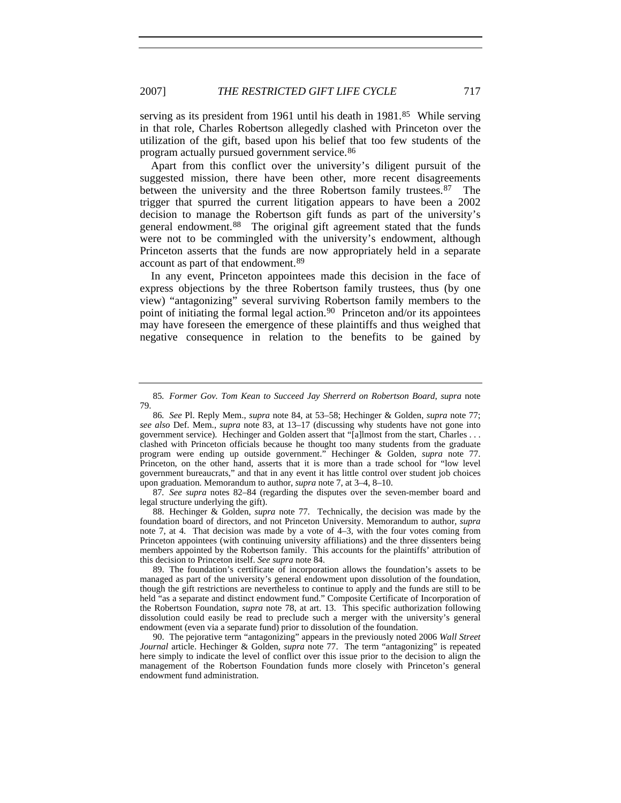serving as its president from 1961 until his death in 1981.<sup>[85](#page-24-0)</sup> While serving in that role, Charles Robertson allegedly clashed with Princeton over the utilization of the gift, based upon his belief that too few students of the program actually pursued government service.[86](#page-24-1)

Apart from this conflict over the university's diligent pursuit of the suggested mission, there have been other, more recent disagreements between the university and the three Robertson family trustees.<sup>[87](#page-24-2)</sup> The trigger that spurred the current litigation appears to have been a 2002 decision to manage the Robertson gift funds as part of the university's general endowment.[88](#page-24-3) The original gift agreement stated that the funds were not to be commingled with the university's endowment, although Princeton asserts that the funds are now appropriately held in a separate account as part of that endowment.[89](#page-24-4)

In any event, Princeton appointees made this decision in the face of express objections by the three Robertson family trustees, thus (by one view) "antagonizing" several surviving Robertson family members to the point of initiating the formal legal action.<sup>[90](#page-24-5)</sup> Princeton and/or its appointees may have foreseen the emergence of these plaintiffs and thus weighed that negative consequence in relation to the benefits to be gained by

<span id="page-24-2"></span>87*. See supra* notes 82–84 (regarding the disputes over the seven-member board and legal structure underlying the gift).

<span id="page-24-3"></span>88. Hechinger & Golden, *supra* note 77. Technically, the decision was made by the foundation board of directors, and not Princeton University. Memorandum to author, *supra*  note 7, at 4. That decision was made by a vote of 4–3, with the four votes coming from Princeton appointees (with continuing university affiliations) and the three dissenters being members appointed by the Robertson family. This accounts for the plaintiffs' attribution of this decision to Princeton itself. *See supra* note 84.

<span id="page-24-4"></span>89. The foundation's certificate of incorporation allows the foundation's assets to be managed as part of the university's general endowment upon dissolution of the foundation, though the gift restrictions are nevertheless to continue to apply and the funds are still to be held "as a separate and distinct endowment fund." Composite Certificate of Incorporation of the Robertson Foundation, *supra* note 78, at art. 13. This specific authorization following dissolution could easily be read to preclude such a merger with the university's general endowment (even via a separate fund) prior to dissolution of the foundation.

<span id="page-24-5"></span>90. The pejorative term "antagonizing" appears in the previously noted 2006 *Wall Street Journal* article. Hechinger & Golden, *supra* note 77. The term "antagonizing" is repeated here simply to indicate the level of conflict over this issue prior to the decision to align the management of the Robertson Foundation funds more closely with Princeton's general endowment fund administration.

<span id="page-24-0"></span><sup>85</sup>*. Former Gov. Tom Kean to Succeed Jay Sherrerd on Robertson Board*, *supra* note 79.

<span id="page-24-1"></span><sup>86</sup>*. See* Pl. Reply Mem., *supra* note 84, at 53–58; Hechinger & Golden, *supra* note 77; *see also* Def. Mem., *supra* note 83, at 13–17 (discussing why students have not gone into government service). Hechinger and Golden assert that "[a]lmost from the start, Charles . . . clashed with Princeton officials because he thought too many students from the graduate program were ending up outside government." Hechinger & Golden, *supra* note 77. Princeton, on the other hand, asserts that it is more than a trade school for "low level government bureaucrats," and that in any event it has little control over student job choices upon graduation. Memorandum to author, *supra* note 7, at 3–4, 8–10.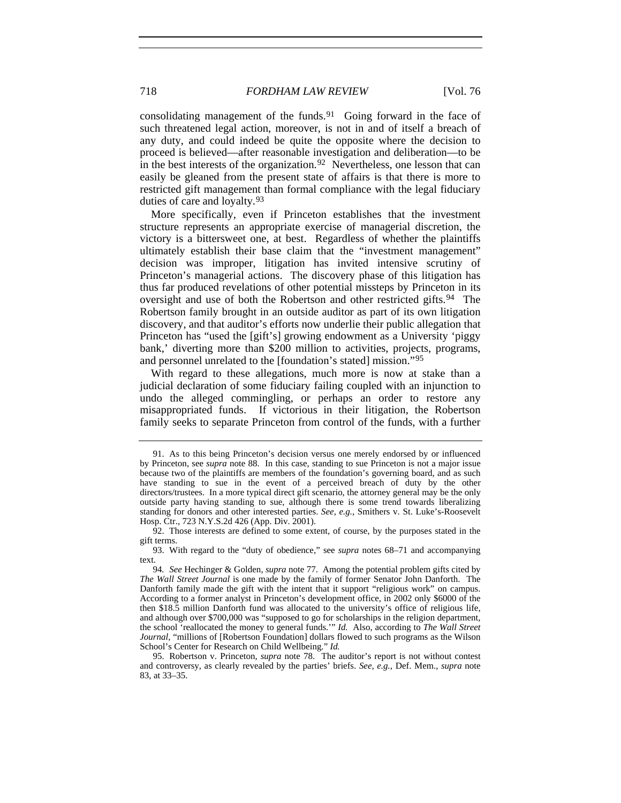consolidating management of the funds.<sup>[91](#page-25-0)</sup> Going forward in the face of such threatened legal action, moreover, is not in and of itself a breach of any duty, and could indeed be quite the opposite where the decision to proceed is believed—after reasonable investigation and deliberation—to be in the best interests of the organization.<sup>[92](#page-25-1)</sup> Nevertheless, one lesson that can easily be gleaned from the present state of affairs is that there is more to restricted gift management than formal compliance with the legal fiduciary duties of care and loyalty.[93](#page-25-2)

More specifically, even if Princeton establishes that the investment structure represents an appropriate exercise of managerial discretion, the victory is a bittersweet one, at best. Regardless of whether the plaintiffs ultimately establish their base claim that the "investment management" decision was improper, litigation has invited intensive scrutiny of Princeton's managerial actions. The discovery phase of this litigation has thus far produced revelations of other potential missteps by Princeton in its oversight and use of both the Robertson and other restricted gifts.<sup>[94](#page-25-3)</sup> The Robertson family brought in an outside auditor as part of its own litigation discovery, and that auditor's efforts now underlie their public allegation that Princeton has "used the [gift's] growing endowment as a University 'piggy bank,' diverting more than \$200 million to activities, projects, programs, and personnel unrelated to the [foundation's stated] mission."[95](#page-25-4)

With regard to these allegations, much more is now at stake than a judicial declaration of some fiduciary failing coupled with an injunction to undo the alleged commingling, or perhaps an order to restore any misappropriated funds. If victorious in their litigation, the Robertson family seeks to separate Princeton from control of the funds, with a further

<span id="page-25-0"></span><sup>91.</sup> As to this being Princeton's decision versus one merely endorsed by or influenced by Princeton, see *supra* note 88. In this case, standing to sue Princeton is not a major issue because two of the plaintiffs are members of the foundation's governing board, and as such have standing to sue in the event of a perceived breach of duty by the other directors/trustees. In a more typical direct gift scenario, the attorney general may be the only outside party having standing to sue, although there is some trend towards liberalizing standing for donors and other interested parties. *See, e.g.*, Smithers v. St. Luke's-Roosevelt Hosp. Ctr., 723 N.Y.S.2d 426 (App. Div. 2001).

<span id="page-25-1"></span><sup>92.</sup> Those interests are defined to some extent, of course, by the purposes stated in the gift terms.

<span id="page-25-2"></span><sup>93.</sup> With regard to the "duty of obedience," see *supra* notes 68–71 and accompanying text.

<span id="page-25-3"></span><sup>94</sup>*. See* Hechinger & Golden, *supra* note 77. Among the potential problem gifts cited by *The Wall Street Journal* is one made by the family of former Senator John Danforth. The Danforth family made the gift with the intent that it support "religious work" on campus. According to a former analyst in Princeton's development office, in 2002 only \$6000 of the then \$18.5 million Danforth fund was allocated to the university's office of religious life, and although over \$700,000 was "supposed to go for scholarships in the religion department, the school 'reallocated the money to general funds.'" *Id.* Also, according to *The Wall Street Journal*, "millions of [Robertson Foundation] dollars flowed to such programs as the Wilson School's Center for Research on Child Wellbeing." *Id.*

<span id="page-25-4"></span><sup>95.</sup> Robertson v. Princeton, *supra* note 78. The auditor's report is not without contest and controversy, as clearly revealed by the parties' briefs. *See, e.g.*, Def. Mem., *supra* note 83, at 33–35.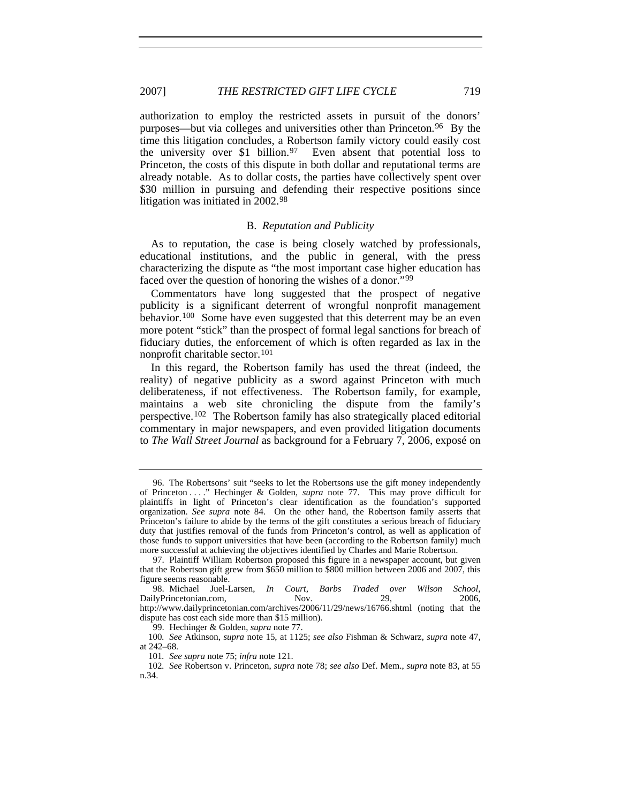authorization to employ the restricted assets in pursuit of the donors' purposes—but via colleges and universities other than Princeton.[96](#page-26-0) By the time this litigation concludes, a Robertson family victory could easily cost the university over \$1 billion.<sup>[97](#page-26-1)</sup> Even absent that potential loss to Princeton, the costs of this dispute in both dollar and reputational terms are already notable. As to dollar costs, the parties have collectively spent over \$30 million in pursuing and defending their respective positions since litigation was initiated in 2002.[98](#page-26-2)

#### B. *Reputation and Publicity*

As to reputation, the case is being closely watched by professionals, educational institutions, and the public in general, with the press characterizing the dispute as "the most important case higher education has faced over the question of honoring the wishes of a donor."<sup>[99](#page-26-3)</sup>

Commentators have long suggested that the prospect of negative publicity is a significant deterrent of wrongful nonprofit management behavior.[100](#page-26-4) Some have even suggested that this deterrent may be an even more potent "stick" than the prospect of formal legal sanctions for breach of fiduciary duties, the enforcement of which is often regarded as lax in the nonprofit charitable sector.[101](#page-26-5)

In this regard, the Robertson family has used the threat (indeed, the reality) of negative publicity as a sword against Princeton with much deliberateness, if not effectiveness. The Robertson family, for example, maintains a web site chronicling the dispute from the family's perspective.[102](#page-26-6) The Robertson family has also strategically placed editorial commentary in major newspapers, and even provided litigation documents to *The Wall Street Journal* as background for a February 7, 2006, exposé on

<span id="page-26-0"></span><sup>96.</sup> The Robertsons' suit "seeks to let the Robertsons use the gift money independently of Princeton . . . ." Hechinger & Golden, *supra* note 77. This may prove difficult for plaintiffs in light of Princeton's clear identification as the foundation's supported organization. *See supra* note 84. On the other hand, the Robertson family asserts that Princeton's failure to abide by the terms of the gift constitutes a serious breach of fiduciary duty that justifies removal of the funds from Princeton's control, as well as application of those funds to support universities that have been (according to the Robertson family) much more successful at achieving the objectives identified by Charles and Marie Robertson.

<span id="page-26-1"></span><sup>97.</sup> Plaintiff William Robertson proposed this figure in a newspaper account, but given that the Robertson gift grew from \$650 million to \$800 million between 2006 and 2007, this figure seems reasonable.

<span id="page-26-2"></span><sup>98.</sup> Michael Juel-Larsen, *In Court, Barbs Traded over Wilson School*, DailyPrincetonian.com, Nov. 29, 2006, http://www.dailyprincetonian.com/archives/2006/11/29/news/16766.shtml (noting that the

dispute has cost each side more than \$15 million). 99. Hechinger & Golden, *supra* note 77.

<span id="page-26-4"></span><span id="page-26-3"></span><sup>100</sup>*. See* Atkinson, *supra* note 15, at 1125; *see also* Fishman & Schwarz, *supra* note 47, at 242–68.

<sup>101</sup>*. See supra* note 75; *infra* note 121.

<span id="page-26-6"></span><span id="page-26-5"></span><sup>102</sup>*. See* Robertson v. Princeton, *supra* note 78; *see also* Def. Mem., *supra* note 83, at 55 n.34.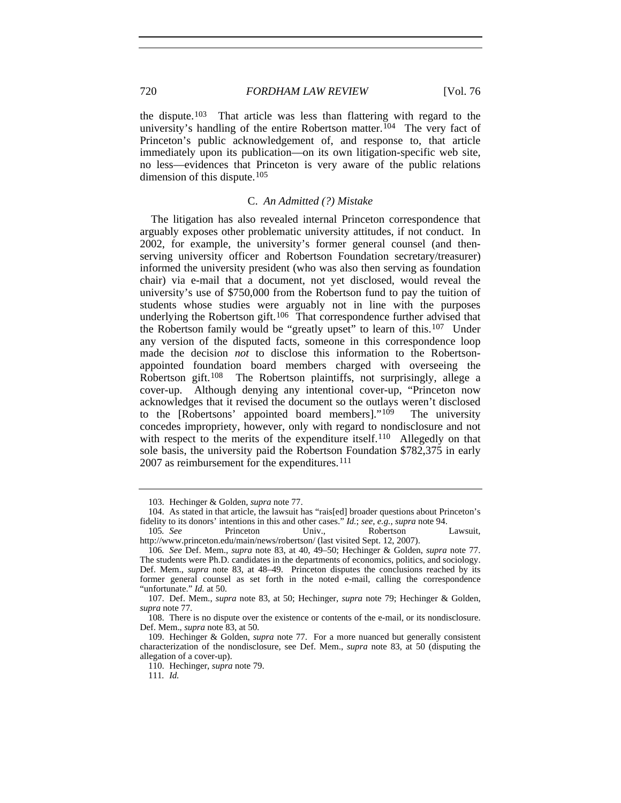the dispute.[103](#page-27-0) That article was less than flattering with regard to the university's handling of the entire Robertson matter.<sup>[104](#page-27-1)</sup> The very fact of Princeton's public acknowledgement of, and response to, that article immediately upon its publication—on its own litigation-specific web site, no less—evidences that Princeton is very aware of the public relations dimension of this dispute.<sup>[105](#page-27-2)</sup>

# C. *An Admitted (?) Mistake*

The litigation has also revealed internal Princeton correspondence that arguably exposes other problematic university attitudes, if not conduct. In 2002, for example, the university's former general counsel (and thenserving university officer and Robertson Foundation secretary/treasurer) informed the university president (who was also then serving as foundation chair) via e-mail that a document, not yet disclosed, would reveal the university's use of \$750,000 from the Robertson fund to pay the tuition of students whose studies were arguably not in line with the purposes underlying the Robertson gift.<sup>[106](#page-27-3)</sup> That correspondence further advised that the Robertson family would be "greatly upset" to learn of this.<sup>[107](#page-27-4)</sup> Under any version of the disputed facts, someone in this correspondence loop made the decision *not* to disclose this information to the Robertsonappointed foundation board members charged with overseeing the Robertson gift.[108](#page-27-5) The Robertson plaintiffs, not surprisingly, allege a cover-up. Although denying any intentional cover-up, "Princeton now acknowledges that it revised the document so the outlays weren't disclosed to the [Robertsons' appointed board members]."[109](#page-27-6) The university concedes impropriety, however, only with regard to nondisclosure and not with respect to the merits of the expenditure itself.<sup>[110](#page-27-7)</sup> Allegedly on that sole basis, the university paid the Robertson Foundation \$782,375 in early 2007 as reimbursement for the expenditures.<sup>[111](#page-27-8)</sup>

<sup>103.</sup> Hechinger & Golden, *supra* note 77.

<span id="page-27-1"></span><span id="page-27-0"></span><sup>104.</sup> As stated in that article, the lawsuit has "rais[ed] broader questions about Princeton's fidelity to its donors' intentions in this and other cases." *Id.*; *see, e.g.*, *supra* note 94.

<span id="page-27-2"></span><sup>105</sup>*. See* Princeton Univ., Robertson Lawsuit, http://www.princeton.edu/main/news/robertson/ (last visited Sept. 12, 2007).

<span id="page-27-3"></span><sup>106</sup>*. See* Def. Mem., *supra* note 83, at 40, 49–50; Hechinger & Golden, *supra* note 77. The students were Ph.D. candidates in the departments of economics, politics, and sociology. Def. Mem., *supra* note 83, at 48–49. Princeton disputes the conclusions reached by its former general counsel as set forth in the noted e-mail, calling the correspondence "unfortunate." *Id.* at 50.

<span id="page-27-4"></span><sup>107.</sup> Def. Mem., *supra* note 83, at 50; Hechinger, *supra* note 79; Hechinger & Golden, *supra* note 77.

<span id="page-27-5"></span><sup>108.</sup> There is no dispute over the existence or contents of the e-mail, or its nondisclosure. Def. Mem., *supra* note 83, at 50.

<span id="page-27-8"></span><span id="page-27-7"></span><span id="page-27-6"></span><sup>109.</sup> Hechinger & Golden, *supra* note 77. For a more nuanced but generally consistent characterization of the nondisclosure, see Def. Mem., *supra* note 83, at 50 (disputing the allegation of a cover-up).

<sup>110.</sup> Hechinger, *supra* note 79.

<sup>111</sup>*. Id.*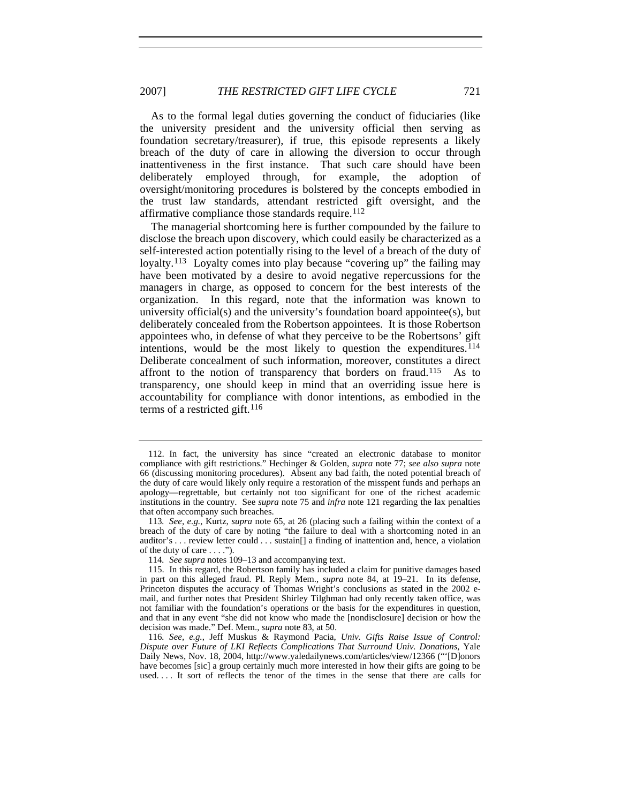As to the formal legal duties governing the conduct of fiduciaries (like the university president and the university official then serving as foundation secretary/treasurer), if true, this episode represents a likely breach of the duty of care in allowing the diversion to occur through inattentiveness in the first instance. That such care should have been deliberately employed through, for example, the adoption of oversight/monitoring procedures is bolstered by the concepts embodied in the trust law standards, attendant restricted gift oversight, and the affirmative compliance those standards require.<sup>[112](#page-28-0)</sup>

The managerial shortcoming here is further compounded by the failure to disclose the breach upon discovery, which could easily be characterized as a self-interested action potentially rising to the level of a breach of the duty of loyalty.[113](#page-28-1) Loyalty comes into play because "covering up" the failing may have been motivated by a desire to avoid negative repercussions for the managers in charge, as opposed to concern for the best interests of the organization. In this regard, note that the information was known to university official(s) and the university's foundation board appointee(s), but deliberately concealed from the Robertson appointees. It is those Robertson appointees who, in defense of what they perceive to be the Robertsons' gift intentions, would be the most likely to question the expenditures.<sup>[114](#page-28-2)</sup> Deliberate concealment of such information, moreover, constitutes a direct affront to the notion of transparency that borders on fraud.<sup>[115](#page-28-3)</sup> As to transparency, one should keep in mind that an overriding issue here is accountability for compliance with donor intentions, as embodied in the terms of a restricted gift.<sup>[116](#page-28-4)</sup>

<span id="page-28-0"></span><sup>112.</sup> In fact, the university has since "created an electronic database to monitor compliance with gift restrictions." Hechinger & Golden, *supra* note 77; *see also supra* note 66 (discussing monitoring procedures). Absent any bad faith, the noted potential breach of the duty of care would likely only require a restoration of the misspent funds and perhaps an apology—regrettable, but certainly not too significant for one of the richest academic institutions in the country. See *supra* note 75 and *infra* note 121 regarding the lax penalties that often accompany such breaches.

<span id="page-28-1"></span><sup>113</sup>*. See, e.g.*, Kurtz, *supra* note 65, at 26 (placing such a failing within the context of a breach of the duty of care by noting "the failure to deal with a shortcoming noted in an auditor's . . . review letter could . . . sustain[] a finding of inattention and, hence, a violation of the duty of care . . . .").

<sup>114</sup>*. See supra* notes 109–13 and accompanying text.

<span id="page-28-3"></span><span id="page-28-2"></span><sup>115.</sup> In this regard, the Robertson family has included a claim for punitive damages based in part on this alleged fraud. Pl. Reply Mem., *supra* note 84, at 19–21. In its defense, Princeton disputes the accuracy of Thomas Wright's conclusions as stated in the 2002 email, and further notes that President Shirley Tilghman had only recently taken office, was not familiar with the foundation's operations or the basis for the expenditures in question, and that in any event "she did not know who made the [nondisclosure] decision or how the decision was made." Def. Mem., *supra* note 83, at 50.

<span id="page-28-4"></span><sup>116</sup>*. See, e.g.*, Jeff Muskus & Raymond Pacia, *Univ. Gifts Raise Issue of Control: Dispute over Future of LKI Reflects Complications That Surround Univ. Donations*, Yale Daily News, Nov. 18, 2004, http://www.yaledailynews.com/articles/view/12366 ("'[D]onors have becomes [sic] a group certainly much more interested in how their gifts are going to be used.... It sort of reflects the tenor of the times in the sense that there are calls for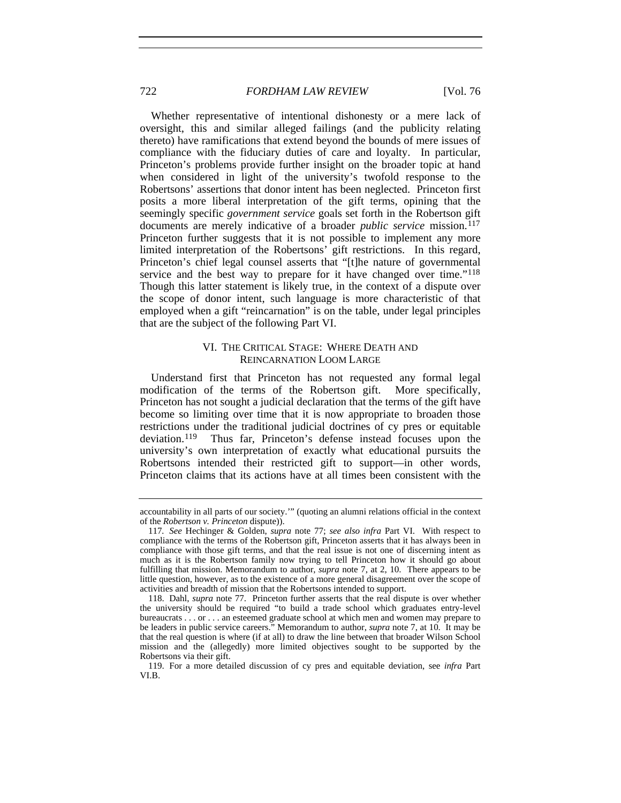Whether representative of intentional dishonesty or a mere lack of oversight, this and similar alleged failings (and the publicity relating thereto) have ramifications that extend beyond the bounds of mere issues of compliance with the fiduciary duties of care and loyalty. In particular, Princeton's problems provide further insight on the broader topic at hand when considered in light of the university's twofold response to the Robertsons' assertions that donor intent has been neglected. Princeton first posits a more liberal interpretation of the gift terms, opining that the seemingly specific *government service* goals set forth in the Robertson gift documents are merely indicative of a broader *public service* mission.<sup>[117](#page-29-0)</sup> Princeton further suggests that it is not possible to implement any more limited interpretation of the Robertsons' gift restrictions. In this regard, Princeton's chief legal counsel asserts that "[t]he nature of governmental service and the best way to prepare for it have changed over time."<sup>[118](#page-29-1)</sup> Though this latter statement is likely true, in the context of a dispute over the scope of donor intent, such language is more characteristic of that employed when a gift "reincarnation" is on the table, under legal principles that are the subject of the following Part VI.

# VI. THE CRITICAL STAGE: WHERE DEATH AND REINCARNATION LOOM LARGE

Understand first that Princeton has not requested any formal legal modification of the terms of the Robertson gift. More specifically, Princeton has not sought a judicial declaration that the terms of the gift have become so limiting over time that it is now appropriate to broaden those restrictions under the traditional judicial doctrines of cy pres or equitable deviation.[119](#page-29-2) Thus far, Princeton's defense instead focuses upon the university's own interpretation of exactly what educational pursuits the Robertsons intended their restricted gift to support—in other words, Princeton claims that its actions have at all times been consistent with the

accountability in all parts of our society.'" (quoting an alumni relations official in the context of the *Robertson v. Princeton* dispute)).

<span id="page-29-0"></span><sup>117</sup>*. See* Hechinger & Golden, *supra* note 77; *see also infra* Part VI. With respect to compliance with the terms of the Robertson gift, Princeton asserts that it has always been in compliance with those gift terms, and that the real issue is not one of discerning intent as much as it is the Robertson family now trying to tell Princeton how it should go about fulfilling that mission. Memorandum to author, *supra* note 7, at 2, 10. There appears to be little question, however, as to the existence of a more general disagreement over the scope of activities and breadth of mission that the Robertsons intended to support.

<span id="page-29-1"></span><sup>118.</sup> Dahl, *supra* note 77. Princeton further asserts that the real dispute is over whether the university should be required "to build a trade school which graduates entry-level bureaucrats . . . or . . . an esteemed graduate school at which men and women may prepare to be leaders in public service careers." Memorandum to author, *supra* note 7, at 10. It may be that the real question is where (if at all) to draw the line between that broader Wilson School mission and the (allegedly) more limited objectives sought to be supported by the Robertsons via their gift.

<span id="page-29-2"></span><sup>119.</sup> For a more detailed discussion of cy pres and equitable deviation, see *infra* Part VI.B.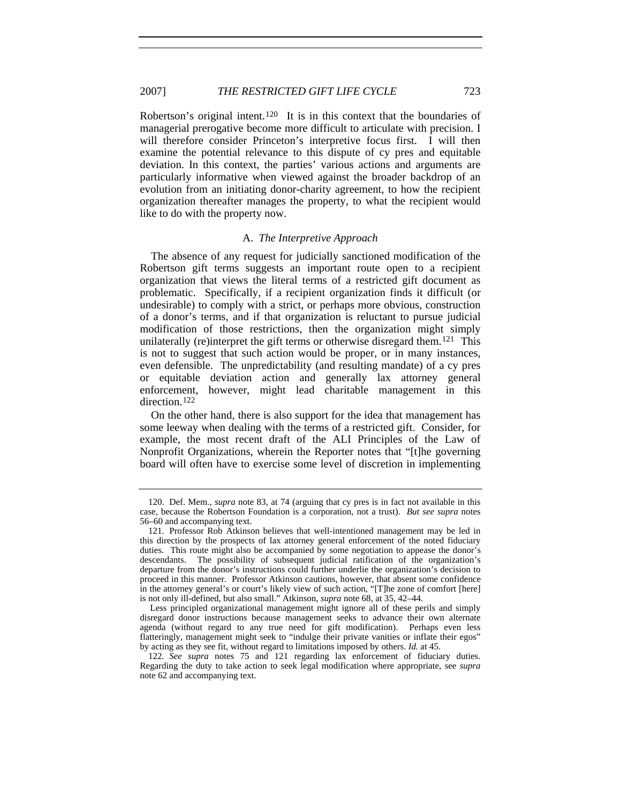Robertson's original intent.<sup>[120](#page-30-0)</sup> It is in this context that the boundaries of managerial prerogative become more difficult to articulate with precision. I will therefore consider Princeton's interpretive focus first. I will then examine the potential relevance to this dispute of cy pres and equitable deviation. In this context, the parties' various actions and arguments are particularly informative when viewed against the broader backdrop of an evolution from an initiating donor-charity agreement, to how the recipient organization thereafter manages the property, to what the recipient would like to do with the property now.

# A. *The Interpretive Approach*

The absence of any request for judicially sanctioned modification of the Robertson gift terms suggests an important route open to a recipient organization that views the literal terms of a restricted gift document as problematic. Specifically, if a recipient organization finds it difficult (or undesirable) to comply with a strict, or perhaps more obvious, construction of a donor's terms, and if that organization is reluctant to pursue judicial modification of those restrictions, then the organization might simply unilaterally (re)interpret the gift terms or otherwise disregard them.<sup>[121](#page-30-1)</sup> This is not to suggest that such action would be proper, or in many instances, even defensible. The unpredictability (and resulting mandate) of a cy pres or equitable deviation action and generally lax attorney general enforcement, however, might lead charitable management in this direction.<sup>[122](#page-30-2)</sup>

On the other hand, there is also support for the idea that management has some leeway when dealing with the terms of a restricted gift. Consider, for example, the most recent draft of the ALI Principles of the Law of Nonprofit Organizations, wherein the Reporter notes that "[t]he governing board will often have to exercise some level of discretion in implementing

<span id="page-30-0"></span><sup>120.</sup> Def. Mem., *supra* note 83, at 74 (arguing that cy pres is in fact not available in this case, because the Robertson Foundation is a corporation, not a trust). *But see supra* notes 56–60 and accompanying text.

<span id="page-30-1"></span><sup>121.</sup> Professor Rob Atkinson believes that well-intentioned management may be led in this direction by the prospects of lax attorney general enforcement of the noted fiduciary duties. This route might also be accompanied by some negotiation to appease the donor's descendants. The possibility of subsequent judicial ratification of the organization's departure from the donor's instructions could further underlie the organization's decision to proceed in this manner. Professor Atkinson cautions, however, that absent some confidence in the attorney general's or court's likely view of such action, "[T]he zone of comfort [here] is not only ill-defined, but also small." Atkinson, *supra* note 68, at 35, 42–44.

Less principled organizational management might ignore all of these perils and simply disregard donor instructions because management seeks to advance their own alternate agenda (without regard to any true need for gift modification). Perhaps even less flatteringly, management might seek to "indulge their private vanities or inflate their egos" by acting as they see fit, without regard to limitations imposed by others. *Id.* at 45.

<span id="page-30-2"></span><sup>122</sup>*. See supra* notes 75 and 121 regarding lax enforcement of fiduciary duties. Regarding the duty to take action to seek legal modification where appropriate, see *supra* note 62 and accompanying text.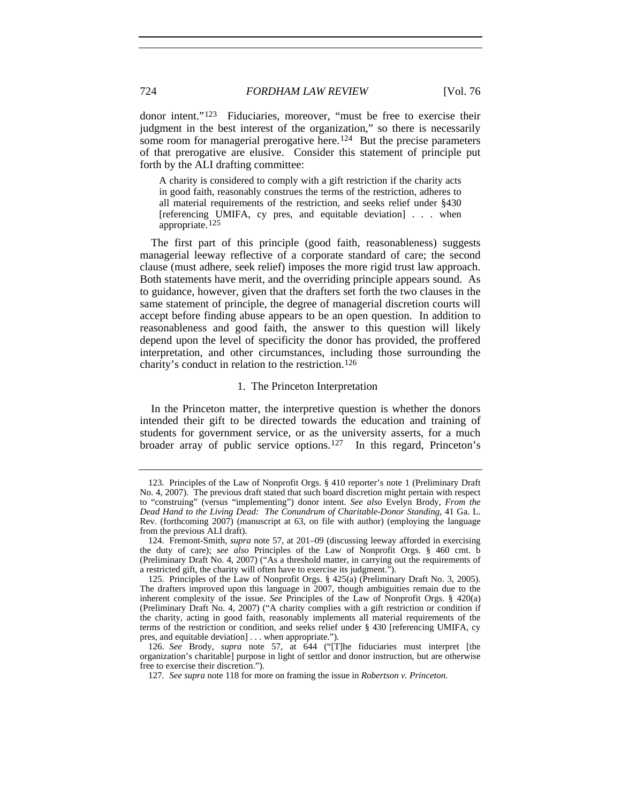donor intent."[123](#page-31-0) Fiduciaries, moreover, "must be free to exercise their judgment in the best interest of the organization," so there is necessarily some room for managerial prerogative here.<sup>[124](#page-31-1)</sup> But the precise parameters of that prerogative are elusive. Consider this statement of principle put forth by the ALI drafting committee:

A charity is considered to comply with a gift restriction if the charity acts in good faith, reasonably construes the terms of the restriction, adheres to all material requirements of the restriction, and seeks relief under §430 [referencing UMIFA, cy pres, and equitable deviation] . . . when appropriate.[125](#page-31-2)

The first part of this principle (good faith, reasonableness) suggests managerial leeway reflective of a corporate standard of care; the second clause (must adhere, seek relief) imposes the more rigid trust law approach. Both statements have merit, and the overriding principle appears sound. As to guidance, however, given that the drafters set forth the two clauses in the same statement of principle, the degree of managerial discretion courts will accept before finding abuse appears to be an open question. In addition to reasonableness and good faith, the answer to this question will likely depend upon the level of specificity the donor has provided, the proffered interpretation, and other circumstances, including those surrounding the charity's conduct in relation to the restriction.[126](#page-31-3)

### 1. The Princeton Interpretation

In the Princeton matter, the interpretive question is whether the donors intended their gift to be directed towards the education and training of students for government service, or as the university asserts, for a much broader array of public service options.[127](#page-31-4) In this regard, Princeton's

<span id="page-31-0"></span><sup>123.</sup> Principles of the Law of Nonprofit Orgs. § 410 reporter's note 1 (Preliminary Draft No. 4, 2007). The previous draft stated that such board discretion might pertain with respect to "construing" (versus "implementing") donor intent. *See also* Evelyn Brody, *From the Dead Hand to the Living Dead: The Conundrum of Charitable-Donor Standing*, 41 Ga. L. Rev. (forthcoming 2007) (manuscript at 63, on file with author) (employing the language from the previous ALI draft).

<span id="page-31-1"></span><sup>124.</sup> Fremont-Smith, *supra* note 57, at 201–09 (discussing leeway afforded in exercising the duty of care); *see also* Principles of the Law of Nonprofit Orgs. § 460 cmt. b (Preliminary Draft No. 4, 2007) ("As a threshold matter, in carrying out the requirements of a restricted gift, the charity will often have to exercise its judgment.").

<span id="page-31-2"></span><sup>125.</sup> Principles of the Law of Nonprofit Orgs. § 425(a) (Preliminary Draft No. 3, 2005). The drafters improved upon this language in 2007, though ambiguities remain due to the inherent complexity of the issue. *See* Principles of the Law of Nonprofit Orgs. § 420(a) (Preliminary Draft No. 4, 2007) ("A charity complies with a gift restriction or condition if the charity, acting in good faith, reasonably implements all material requirements of the terms of the restriction or condition, and seeks relief under § 430 [referencing UMIFA, cy pres, and equitable deviation] . . . when appropriate.").

<span id="page-31-4"></span><span id="page-31-3"></span><sup>126.</sup> *See* Brody, *supra* note 57, at 644 ("[T]he fiduciaries must interpret [the organization's charitable] purpose in light of settlor and donor instruction, but are otherwise free to exercise their discretion.").

<sup>127</sup>*. See supra* note 118 for more on framing the issue in *Robertson v. Princeton*.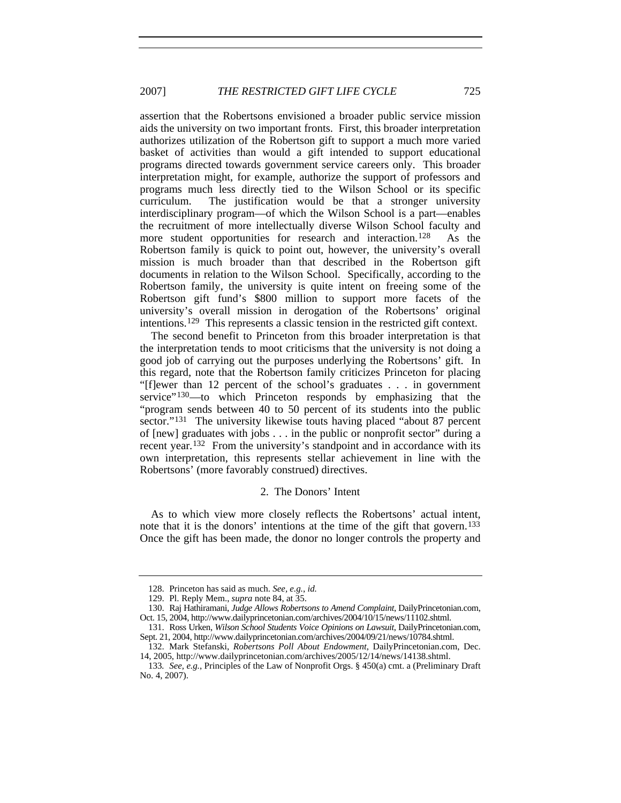assertion that the Robertsons envisioned a broader public service mission aids the university on two important fronts. First, this broader interpretation authorizes utilization of the Robertson gift to support a much more varied basket of activities than would a gift intended to support educational programs directed towards government service careers only. This broader interpretation might, for example, authorize the support of professors and programs much less directly tied to the Wilson School or its specific curriculum. The justification would be that a stronger university interdisciplinary program—of which the Wilson School is a part—enables the recruitment of more intellectually diverse Wilson School faculty and more student opportunities for research and interaction.<sup>[128](#page-32-0)</sup> As the Robertson family is quick to point out, however, the university's overall mission is much broader than that described in the Robertson gift documents in relation to the Wilson School. Specifically, according to the Robertson family, the university is quite intent on freeing some of the Robertson gift fund's \$800 million to support more facets of the university's overall mission in derogation of the Robertsons' original intentions.[129](#page-32-1) This represents a classic tension in the restricted gift context.

The second benefit to Princeton from this broader interpretation is that the interpretation tends to moot criticisms that the university is not doing a good job of carrying out the purposes underlying the Robertsons' gift. In this regard, note that the Robertson family criticizes Princeton for placing "[f]ewer than 12 percent of the school's graduates . . . in government service"<sup>[130](#page-32-2)</sup>—to which Princeton responds by emphasizing that the "program sends between 40 to 50 percent of its students into the public sector."<sup>[131](#page-32-3)</sup> The university likewise touts having placed "about 87 percent" of [new] graduates with jobs . . . in the public or nonprofit sector" during a recent year.[132](#page-32-4) From the university's standpoint and in accordance with its own interpretation, this represents stellar achievement in line with the Robertsons' (more favorably construed) directives.

## 2. The Donors' Intent

As to which view more closely reflects the Robertsons' actual intent, note that it is the donors' intentions at the time of the gift that govern.<sup>[133](#page-32-5)</sup> Once the gift has been made, the donor no longer controls the property and

<sup>128.</sup> Princeton has said as much. *See, e.g.*, *id.* 

<sup>129.</sup> Pl. Reply Mem., *supra* note 84, at 35.

<span id="page-32-2"></span><span id="page-32-1"></span><span id="page-32-0"></span><sup>130.</sup> Raj Hathiramani, *Judge Allows Robertsons to Amend Complaint*, DailyPrincetonian.com, Oct. 15, 2004, http://www.dailyprincetonian.com/archives/2004/10/15/news/11102.shtml.

<span id="page-32-3"></span><sup>131.</sup> Ross Urken, *Wilson School Students Voice Opinions on Lawsuit*, DailyPrincetonian.com, Sept. 21, 2004, http://www.dailyprincetonian.com/archives/2004/09/21/news/10784.shtml.

<sup>132.</sup> Mark Stefanski, *Robertsons Poll About Endowment*, DailyPrincetonian.com, Dec. 14, 2005, http://www.dailyprincetonian.com/archives/2005/12/14/news/14138.shtml.

<span id="page-32-5"></span><span id="page-32-4"></span><sup>133</sup>*. See, e.g.*, Principles of the Law of Nonprofit Orgs. § 450(a) cmt. a (Preliminary Draft No. 4, 2007).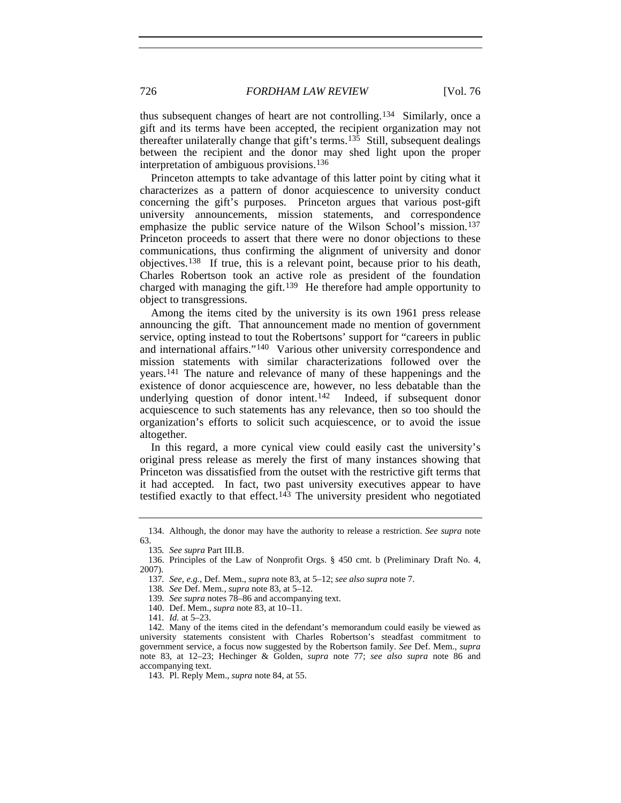thus subsequent changes of heart are not controlling.[134](#page-33-0) Similarly, once a gift and its terms have been accepted, the recipient organization may not thereafter unilaterally change that gift's terms.<sup>[135](#page-33-1)</sup> Still, subsequent dealings between the recipient and the donor may shed light upon the proper interpretation of ambiguous provisions.[136](#page-33-2)

Princeton attempts to take advantage of this latter point by citing what it characterizes as a pattern of donor acquiescence to university conduct concerning the gift's purposes. Princeton argues that various post-gift university announcements, mission statements, and correspondence emphasize the public service nature of the Wilson School's mission.<sup>[137](#page-33-3)</sup> Princeton proceeds to assert that there were no donor objections to these communications, thus confirming the alignment of university and donor objectives.[138](#page-33-4) If true, this is a relevant point, because prior to his death, Charles Robertson took an active role as president of the foundation charged with managing the gift.<sup>[139](#page-33-5)</sup> He therefore had ample opportunity to object to transgressions.

Among the items cited by the university is its own 1961 press release announcing the gift. That announcement made no mention of government service, opting instead to tout the Robertsons' support for "careers in public and international affairs."[140](#page-33-6) Various other university correspondence and mission statements with similar characterizations followed over the years.[141](#page-33-7) The nature and relevance of many of these happenings and the existence of donor acquiescence are, however, no less debatable than the underlying question of donor intent.<sup>142</sup> Indeed, if subsequent donor acquiescence to such statements has any relevance, then so too should the organization's efforts to solicit such acquiescence, or to avoid the issue altogether.

In this regard, a more cynical view could easily cast the university's original press release as merely the first of many instances showing that Princeton was dissatisfied from the outset with the restrictive gift terms that it had accepted. In fact, two past university executives appear to have testified exactly to that effect.<sup>[143](#page-33-9)</sup> The university president who negotiated

<span id="page-33-0"></span><sup>134.</sup> Although, the donor may have the authority to release a restriction. *See supra* note 63.

<sup>135</sup>*. See supra* Part III.B.

<span id="page-33-4"></span><span id="page-33-3"></span><span id="page-33-2"></span><span id="page-33-1"></span><sup>136.</sup> Principles of the Law of Nonprofit Orgs. § 450 cmt. b (Preliminary Draft No. 4, 2007).

<sup>137</sup>*. See, e.g.*, Def. Mem., *supra* note 83, at 5–12; *see also supra* note 7.

<sup>138</sup>*. See* Def. Mem., *supra* note 83, at 5–12.

<sup>139</sup>*. See supra* notes 78–86 and accompanying text.

<sup>140.</sup> Def. Mem., *supra* note 83, at 10–11.

<sup>141</sup>*. Id.* at 5–23.

<span id="page-33-9"></span><span id="page-33-8"></span><span id="page-33-7"></span><span id="page-33-6"></span><span id="page-33-5"></span><sup>142.</sup> Many of the items cited in the defendant's memorandum could easily be viewed as university statements consistent with Charles Robertson's steadfast commitment to government service, a focus now suggested by the Robertson family. *See* Def. Mem., *supra* note 83, at 12–23; Hechinger & Golden, *supra* note 77; *see also supra* note 86 and accompanying text.

<sup>143.</sup> Pl. Reply Mem., *supra* note 84, at 55.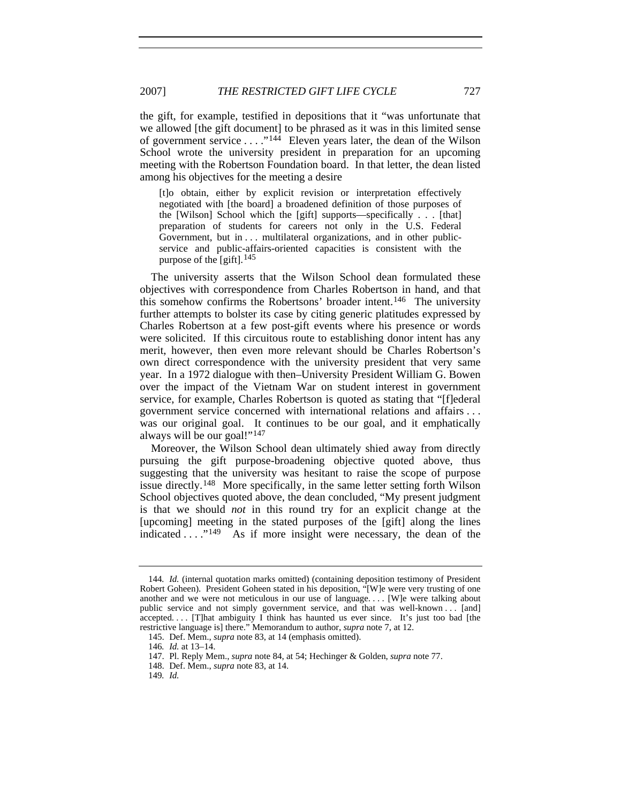the gift, for example, testified in depositions that it "was unfortunate that we allowed [the gift document] to be phrased as it was in this limited sense of government service . . . ."[144](#page-34-0) Eleven years later, the dean of the Wilson School wrote the university president in preparation for an upcoming meeting with the Robertson Foundation board. In that letter, the dean listed among his objectives for the meeting a desire

[t]o obtain, either by explicit revision or interpretation effectively negotiated with [the board] a broadened definition of those purposes of the [Wilson] School which the [gift] supports—specifically . . . [that] preparation of students for careers not only in the U.S. Federal Government, but in . . . multilateral organizations, and in other publicservice and public-affairs-oriented capacities is consistent with the purpose of the [gift].  $145$ 

The university asserts that the Wilson School dean formulated these objectives with correspondence from Charles Robertson in hand, and that this somehow confirms the Robertsons' broader intent.<sup>[146](#page-34-2)</sup> The university further attempts to bolster its case by citing generic platitudes expressed by Charles Robertson at a few post-gift events where his presence or words were solicited. If this circuitous route to establishing donor intent has any merit, however, then even more relevant should be Charles Robertson's own direct correspondence with the university president that very same year. In a 1972 dialogue with then–University President William G. Bowen over the impact of the Vietnam War on student interest in government service, for example, Charles Robertson is quoted as stating that "[f]ederal government service concerned with international relations and affairs . . . was our original goal. It continues to be our goal, and it emphatically always will be our goal!"[147](#page-34-3)

Moreover, the Wilson School dean ultimately shied away from directly pursuing the gift purpose-broadening objective quoted above, thus suggesting that the university was hesitant to raise the scope of purpose issue directly.[148](#page-34-4) More specifically, in the same letter setting forth Wilson School objectives quoted above, the dean concluded, "My present judgment is that we should *not* in this round try for an explicit change at the [upcoming] meeting in the stated purposes of the [gift] along the lines indicated . . . . . <sup>[149](#page-34-5)</sup> As if more insight were necessary, the dean of the

<span id="page-34-0"></span><sup>144</sup>*. Id.* (internal quotation marks omitted) (containing deposition testimony of President Robert Goheen). President Goheen stated in his deposition, "[W]e were very trusting of one another and we were not meticulous in our use of language. . . . [W]e were talking about public service and not simply government service, and that was well-known . . . [and] accepted.... [T]hat ambiguity I think has haunted us ever since. It's just too bad [the restrictive language is] there." Memorandum to author, *supra* note 7, at 12.

<sup>145.</sup> Def. Mem., *supra* note 83, at 14 (emphasis omitted).

<span id="page-34-2"></span><span id="page-34-1"></span><sup>146</sup>*. Id.* at 13–14.

<span id="page-34-4"></span><span id="page-34-3"></span><sup>147.</sup> Pl. Reply Mem., *supra* note 84, at 54; Hechinger & Golden, *supra* note 77.

<sup>148.</sup> Def. Mem., *supra* note 83, at 14.

<span id="page-34-5"></span><sup>149</sup>*. Id.*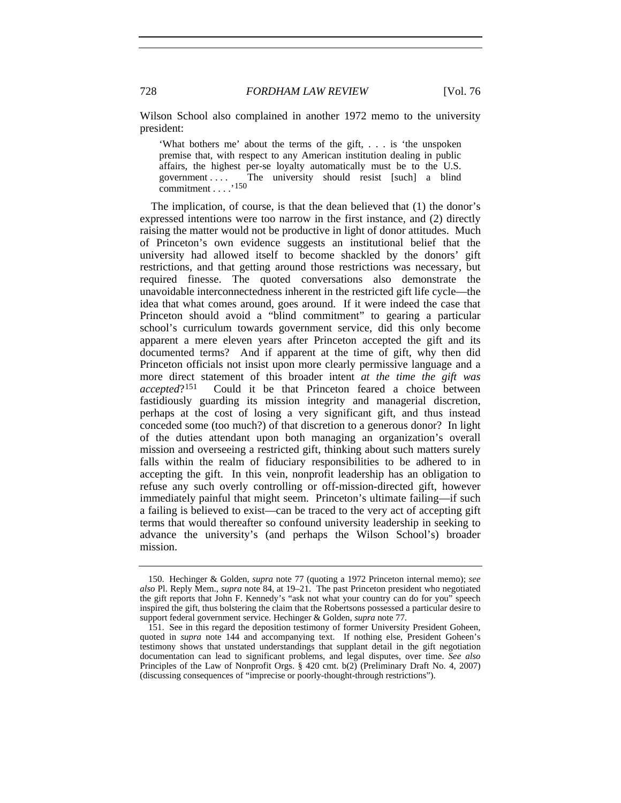Wilson School also complained in another 1972 memo to the university president:

'What bothers me' about the terms of the gift, . . . is 'the unspoken premise that, with respect to any American institution dealing in public affairs, the highest per-se loyalty automatically must be to the U.S. The university should resist [such] a blind commitment . . . .'[150](#page-35-0)

The implication, of course, is that the dean believed that (1) the donor's expressed intentions were too narrow in the first instance, and (2) directly raising the matter would not be productive in light of donor attitudes. Much of Princeton's own evidence suggests an institutional belief that the university had allowed itself to become shackled by the donors' gift restrictions, and that getting around those restrictions was necessary, but required finesse. The quoted conversations also demonstrate the unavoidable interconnectedness inherent in the restricted gift life cycle—the idea that what comes around, goes around. If it were indeed the case that Princeton should avoid a "blind commitment" to gearing a particular school's curriculum towards government service, did this only become apparent a mere eleven years after Princeton accepted the gift and its documented terms? And if apparent at the time of gift, why then did Princeton officials not insist upon more clearly permissive language and a more direct statement of this broader intent *at the time the gift was accepted*?[151](#page-35-1) Could it be that Princeton feared a choice between fastidiously guarding its mission integrity and managerial discretion, perhaps at the cost of losing a very significant gift, and thus instead conceded some (too much?) of that discretion to a generous donor? In light of the duties attendant upon both managing an organization's overall mission and overseeing a restricted gift, thinking about such matters surely falls within the realm of fiduciary responsibilities to be adhered to in accepting the gift. In this vein, nonprofit leadership has an obligation to refuse any such overly controlling or off-mission-directed gift, however immediately painful that might seem. Princeton's ultimate failing—if such a failing is believed to exist—can be traced to the very act of accepting gift terms that would thereafter so confound university leadership in seeking to advance the university's (and perhaps the Wilson School's) broader mission.

<span id="page-35-0"></span><sup>150.</sup> Hechinger & Golden, *supra* note 77 (quoting a 1972 Princeton internal memo); *see also* Pl. Reply Mem., *supra* note 84, at 19–21. The past Princeton president who negotiated the gift reports that John F. Kennedy's "ask not what your country can do for you" speech inspired the gift, thus bolstering the claim that the Robertsons possessed a particular desire to support federal government service. Hechinger & Golden, *supra* note 77.

<span id="page-35-1"></span><sup>151.</sup> See in this regard the deposition testimony of former University President Goheen, quoted in *supra* note 144 and accompanying text. If nothing else, President Goheen's testimony shows that unstated understandings that supplant detail in the gift negotiation documentation can lead to significant problems, and legal disputes, over time. *See also*  Principles of the Law of Nonprofit Orgs. § 420 cmt. b(2) (Preliminary Draft No. 4, 2007) (discussing consequences of "imprecise or poorly-thought-through restrictions").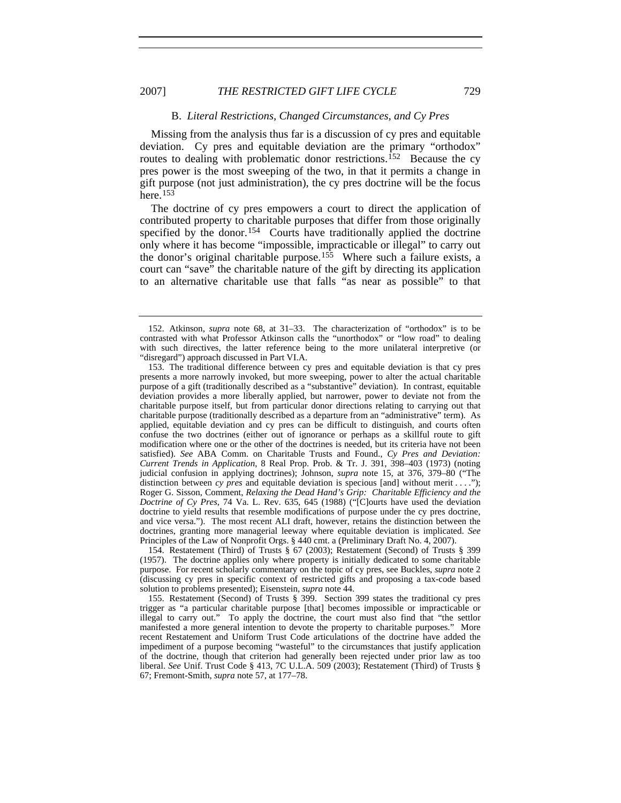#### B. *Literal Restrictions, Changed Circumstances, and Cy Pres*

Missing from the analysis thus far is a discussion of cy pres and equitable deviation. Cy pres and equitable deviation are the primary "orthodox" routes to dealing with problematic donor restrictions.[152](#page-36-0) Because the cy pres power is the most sweeping of the two, in that it permits a change in gift purpose (not just administration), the cy pres doctrine will be the focus here.[153](#page-36-1)

The doctrine of cy pres empowers a court to direct the application of contributed property to charitable purposes that differ from those originally specified by the donor.<sup>154</sup> Courts have traditionally applied the doctrine only where it has become "impossible, impracticable or illegal" to carry out the donor's original charitable purpose.[155](#page-36-3) Where such a failure exists, a court can "save" the charitable nature of the gift by directing its application to an alternative charitable use that falls "as near as possible" to that

<span id="page-36-2"></span>154. Restatement (Third) of Trusts § 67 (2003); Restatement (Second) of Trusts § 399 (1957). The doctrine applies only where property is initially dedicated to some charitable purpose. For recent scholarly commentary on the topic of cy pres, see Buckles, *supra* note 2 (discussing cy pres in specific context of restricted gifts and proposing a tax-code based solution to problems presented); Eisenstein, *supra* note 44.

<span id="page-36-3"></span>155. Restatement (Second) of Trusts § 399. Section 399 states the traditional cy pres trigger as "a particular charitable purpose [that] becomes impossible or impracticable or illegal to carry out." To apply the doctrine, the court must also find that "the settlor manifested a more general intention to devote the property to charitable purposes." More recent Restatement and Uniform Trust Code articulations of the doctrine have added the impediment of a purpose becoming "wasteful" to the circumstances that justify application of the doctrine, though that criterion had generally been rejected under prior law as too liberal. *See* Unif. Trust Code § 413, 7C U.L.A. 509 (2003); Restatement (Third) of Trusts § 67; Fremont-Smith, *supra* note 57, at 177–78.

<span id="page-36-0"></span><sup>152.</sup> Atkinson, *supra* note 68, at 31–33. The characterization of "orthodox" is to be contrasted with what Professor Atkinson calls the "unorthodox" or "low road" to dealing with such directives, the latter reference being to the more unilateral interpretive (or "disregard") approach discussed in Part VI.A.

<span id="page-36-1"></span><sup>153.</sup> The traditional difference between cy pres and equitable deviation is that cy pres presents a more narrowly invoked, but more sweeping, power to alter the actual charitable purpose of a gift (traditionally described as a "substantive" deviation). In contrast, equitable deviation provides a more liberally applied, but narrower, power to deviate not from the charitable purpose itself, but from particular donor directions relating to carrying out that charitable purpose (traditionally described as a departure from an "administrative" term). As applied, equitable deviation and cy pres can be difficult to distinguish, and courts often confuse the two doctrines (either out of ignorance or perhaps as a skillful route to gift modification where one or the other of the doctrines is needed, but its criteria have not been satisfied). *See* ABA Comm. on Charitable Trusts and Found., *Cy Pres and Deviation: Current Trends in Application*, 8 Real Prop. Prob. & Tr. J. 391, 398–403 (1973) (noting judicial confusion in applying doctrines); Johnson, *supra* note 15, at 376, 379–80 ("The distinction between *cy pres* and equitable deviation is specious [and] without merit . . . ."); Roger G. Sisson, Comment, *Relaxing the Dead Hand's Grip: Charitable Efficiency and the Doctrine of Cy Pres*, 74 Va. L. Rev. 635, 645 (1988) ("[C]ourts have used the deviation doctrine to yield results that resemble modifications of purpose under the cy pres doctrine, and vice versa."). The most recent ALI draft, however, retains the distinction between the doctrines, granting more managerial leeway where equitable deviation is implicated. *See* Principles of the Law of Nonprofit Orgs. § 440 cmt. a (Preliminary Draft No. 4, 2007).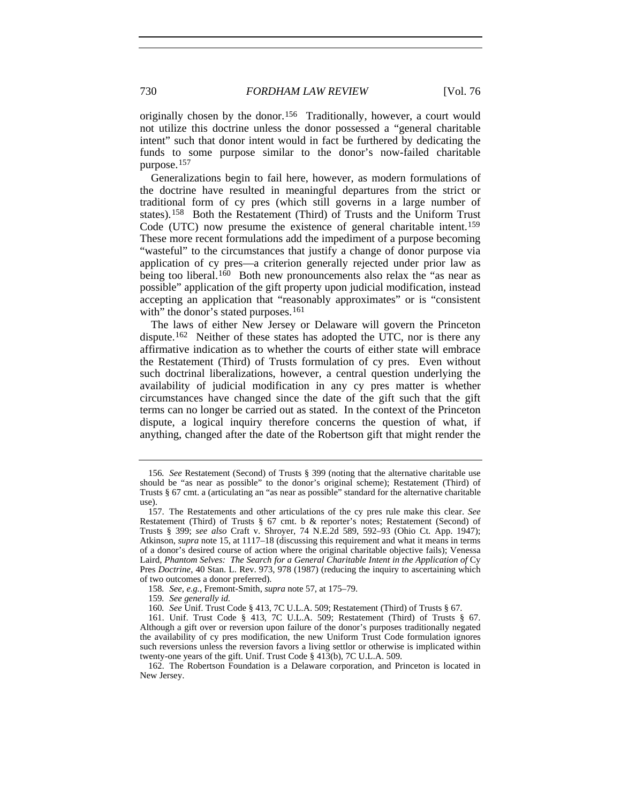originally chosen by the donor.<sup>[156](#page-37-0)</sup> Traditionally, however, a court would not utilize this doctrine unless the donor possessed a "general charitable intent" such that donor intent would in fact be furthered by dedicating the funds to some purpose similar to the donor's now-failed charitable purpose.[157](#page-37-1)

Generalizations begin to fail here, however, as modern formulations of the doctrine have resulted in meaningful departures from the strict or traditional form of cy pres (which still governs in a large number of states).[158](#page-37-2) Both the Restatement (Third) of Trusts and the Uniform Trust Code (UTC) now presume the existence of general charitable intent[.159](#page-37-3) These more recent formulations add the impediment of a purpose becoming "wasteful" to the circumstances that justify a change of donor purpose via application of cy pres—a criterion generally rejected under prior law as being too liberal.<sup>[160](#page-37-4)</sup> Both new pronouncements also relax the "as near as possible" application of the gift property upon judicial modification, instead accepting an application that "reasonably approximates" or is "consistent with" the donor's stated purposes.<sup>[161](#page-37-5)</sup>

The laws of either New Jersey or Delaware will govern the Princeton dispute.<sup>[162](#page-37-6)</sup> Neither of these states has adopted the UTC, nor is there any affirmative indication as to whether the courts of either state will embrace the Restatement (Third) of Trusts formulation of cy pres. Even without such doctrinal liberalizations, however, a central question underlying the availability of judicial modification in any cy pres matter is whether circumstances have changed since the date of the gift such that the gift terms can no longer be carried out as stated. In the context of the Princeton dispute, a logical inquiry therefore concerns the question of what, if anything, changed after the date of the Robertson gift that might render the

<span id="page-37-0"></span><sup>156</sup>*. See* Restatement (Second) of Trusts § 399 (noting that the alternative charitable use should be "as near as possible" to the donor's original scheme); Restatement (Third) of Trusts § 67 cmt. a (articulating an "as near as possible" standard for the alternative charitable use).

<span id="page-37-1"></span><sup>157.</sup> The Restatements and other articulations of the cy pres rule make this clear. *See* Restatement (Third) of Trusts § 67 cmt. b & reporter's notes; Restatement (Second) of Trusts § 399; *see also* Craft v. Shroyer, 74 N.E.2d 589, 592–93 (Ohio Ct. App. 1947); Atkinson, *supra* note 15, at 1117–18 (discussing this requirement and what it means in terms of a donor's desired course of action where the original charitable objective fails); Venessa Laird, *Phantom Selves: The Search for a General Charitable Intent in the Application of* Cy Pres *Doctrine*, 40 Stan. L. Rev. 973, 978 (1987) (reducing the inquiry to ascertaining which of two outcomes a donor preferred).

<sup>158</sup>*. See, e.g.*, Fremont-Smith, *supra* note 57, at 175–79.

<sup>159</sup>*. See generally id.*

<sup>160</sup>*. See* Unif. Trust Code § 413, 7C U.L.A. 509; Restatement (Third) of Trusts § 67.

<span id="page-37-5"></span><span id="page-37-4"></span><span id="page-37-3"></span><span id="page-37-2"></span><sup>161.</sup> Unif. Trust Code § 413, 7C U.L.A. 509; Restatement (Third) of Trusts § 67. Although a gift over or reversion upon failure of the donor's purposes traditionally negated the availability of cy pres modification, the new Uniform Trust Code formulation ignores such reversions unless the reversion favors a living settlor or otherwise is implicated within twenty-one years of the gift. Unif. Trust Code § 413(b), 7C U.L.A. 509.

<span id="page-37-6"></span><sup>162.</sup> The Robertson Foundation is a Delaware corporation, and Princeton is located in New Jersey.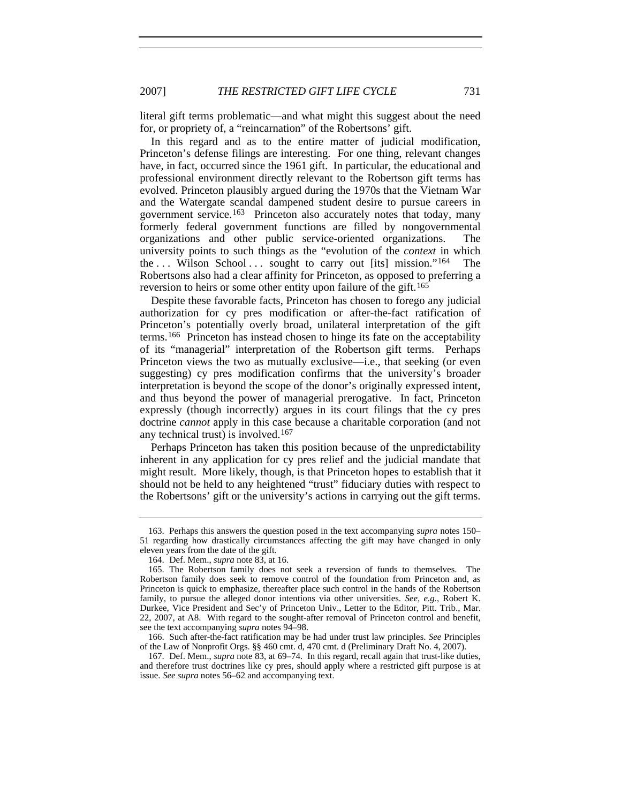literal gift terms problematic—and what might this suggest about the need for, or propriety of, a "reincarnation" of the Robertsons' gift.

In this regard and as to the entire matter of judicial modification, Princeton's defense filings are interesting. For one thing, relevant changes have, in fact, occurred since the 1961 gift. In particular, the educational and professional environment directly relevant to the Robertson gift terms has evolved. Princeton plausibly argued during the 1970s that the Vietnam War and the Watergate scandal dampened student desire to pursue careers in government service.[163](#page-38-0) Princeton also accurately notes that today, many formerly federal government functions are filled by nongovernmental organizations and other public service-oriented organizations. The university points to such things as the "evolution of the *context* in which the  $\ldots$  Wilson School  $\ldots$  sought to carry out [its] mission."<sup>[164](#page-38-1)</sup> The Robertsons also had a clear affinity for Princeton, as opposed to preferring a reversion to heirs or some other entity upon failure of the gift.<sup>[165](#page-38-2)</sup>

Despite these favorable facts, Princeton has chosen to forego any judicial authorization for cy pres modification or after-the-fact ratification of Princeton's potentially overly broad, unilateral interpretation of the gift terms.[166](#page-38-3) Princeton has instead chosen to hinge its fate on the acceptability of its "managerial" interpretation of the Robertson gift terms. Perhaps Princeton views the two as mutually exclusive—i.e., that seeking (or even suggesting) cy pres modification confirms that the university's broader interpretation is beyond the scope of the donor's originally expressed intent, and thus beyond the power of managerial prerogative. In fact, Princeton expressly (though incorrectly) argues in its court filings that the cy pres doctrine *cannot* apply in this case because a charitable corporation (and not any technical trust) is involved.[167](#page-38-4)

Perhaps Princeton has taken this position because of the unpredictability inherent in any application for cy pres relief and the judicial mandate that might result. More likely, though, is that Princeton hopes to establish that it should not be held to any heightened "trust" fiduciary duties with respect to the Robertsons' gift or the university's actions in carrying out the gift terms.

<span id="page-38-0"></span><sup>163.</sup> Perhaps this answers the question posed in the text accompanying *supra* notes 150– 51 regarding how drastically circumstances affecting the gift may have changed in only eleven years from the date of the gift.

<sup>164.</sup> Def. Mem., *supra* note 83, at 16.

<span id="page-38-2"></span><span id="page-38-1"></span><sup>165.</sup> The Robertson family does not seek a reversion of funds to themselves. The Robertson family does seek to remove control of the foundation from Princeton and, as Princeton is quick to emphasize, thereafter place such control in the hands of the Robertson family, to pursue the alleged donor intentions via other universities. *See, e.g.*, Robert K. Durkee, Vice President and Sec'y of Princeton Univ., Letter to the Editor, Pitt. Trib., Mar. 22, 2007, at A8. With regard to the sought-after removal of Princeton control and benefit, see the text accompanying *supra* notes 94–98.

<span id="page-38-3"></span><sup>166.</sup> Such after-the-fact ratification may be had under trust law principles. *See* Principles of the Law of Nonprofit Orgs. §§ 460 cmt. d, 470 cmt. d (Preliminary Draft No. 4, 2007).

<span id="page-38-4"></span><sup>167.</sup> Def. Mem., *supra* note 83, at 69–74. In this regard, recall again that trust-like duties, and therefore trust doctrines like cy pres, should apply where a restricted gift purpose is at issue. *See supra* notes 56–62 and accompanying text.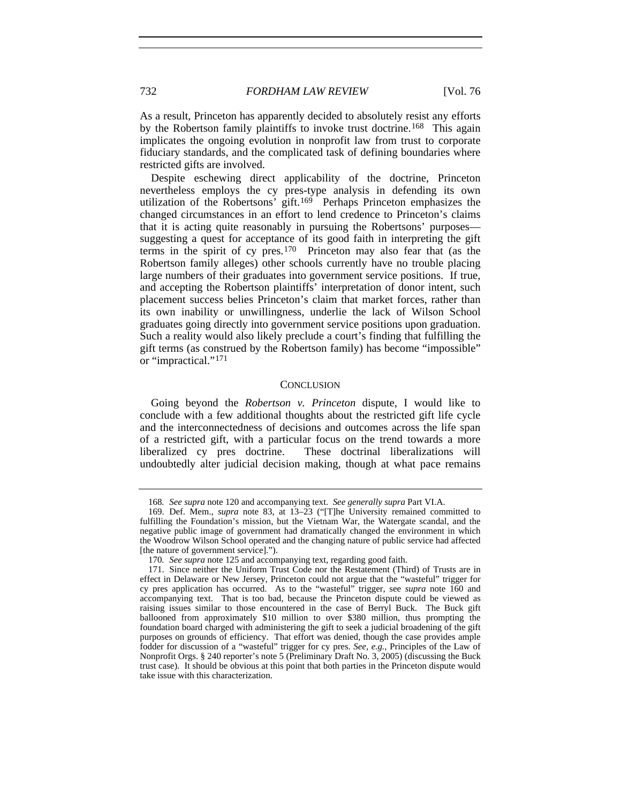As a result, Princeton has apparently decided to absolutely resist any efforts by the Robertson family plaintiffs to invoke trust doctrine.<sup>[168](#page-39-0)</sup> This again implicates the ongoing evolution in nonprofit law from trust to corporate fiduciary standards, and the complicated task of defining boundaries where restricted gifts are involved.

Despite eschewing direct applicability of the doctrine, Princeton nevertheless employs the cy pres-type analysis in defending its own utilization of the Robertsons' gift.<sup>[169](#page-39-1)</sup> Perhaps Princeton emphasizes the changed circumstances in an effort to lend credence to Princeton's claims that it is acting quite reasonably in pursuing the Robertsons' purposes suggesting a quest for acceptance of its good faith in interpreting the gift terms in the spirit of cy pres.[170](#page-39-2) Princeton may also fear that (as the Robertson family alleges) other schools currently have no trouble placing large numbers of their graduates into government service positions. If true, and accepting the Robertson plaintiffs' interpretation of donor intent, such placement success belies Princeton's claim that market forces, rather than its own inability or unwillingness, underlie the lack of Wilson School graduates going directly into government service positions upon graduation. Such a reality would also likely preclude a court's finding that fulfilling the gift terms (as construed by the Robertson family) has become "impossible" or "impractical."[171](#page-39-3)

#### **CONCLUSION**

Going beyond the *Robertson v. Princeton* dispute, I would like to conclude with a few additional thoughts about the restricted gift life cycle and the interconnectedness of decisions and outcomes across the life span of a restricted gift, with a particular focus on the trend towards a more liberalized cy pres doctrine. These doctrinal liberalizations will undoubtedly alter judicial decision making, though at what pace remains

<sup>168</sup>*. See supra* note 120 and accompanying text. *See generally supra* Part VI.A.

<span id="page-39-1"></span><span id="page-39-0"></span><sup>169.</sup> Def. Mem., *supra* note 83, at 13–23 ("[T]he University remained committed to fulfilling the Foundation's mission, but the Vietnam War, the Watergate scandal, and the negative public image of government had dramatically changed the environment in which the Woodrow Wilson School operated and the changing nature of public service had affected [the nature of government service].").

<sup>170</sup>*. See supra* note 125 and accompanying text, regarding good faith.

<span id="page-39-3"></span><span id="page-39-2"></span><sup>171.</sup> Since neither the Uniform Trust Code nor the Restatement (Third) of Trusts are in effect in Delaware or New Jersey, Princeton could not argue that the "wasteful" trigger for cy pres application has occurred. As to the "wasteful" trigger, see *supra* note 160 and accompanying text. That is too bad, because the Princeton dispute could be viewed as raising issues similar to those encountered in the case of Berryl Buck. The Buck gift ballooned from approximately \$10 million to over \$380 million, thus prompting the foundation board charged with administering the gift to seek a judicial broadening of the gift purposes on grounds of efficiency. That effort was denied, though the case provides ample fodder for discussion of a "wasteful" trigger for cy pres. *See, e.g.*, Principles of the Law of Nonprofit Orgs. § 240 reporter's note 5 (Preliminary Draft No. 3, 2005) (discussing the Buck trust case). It should be obvious at this point that both parties in the Princeton dispute would take issue with this characterization.